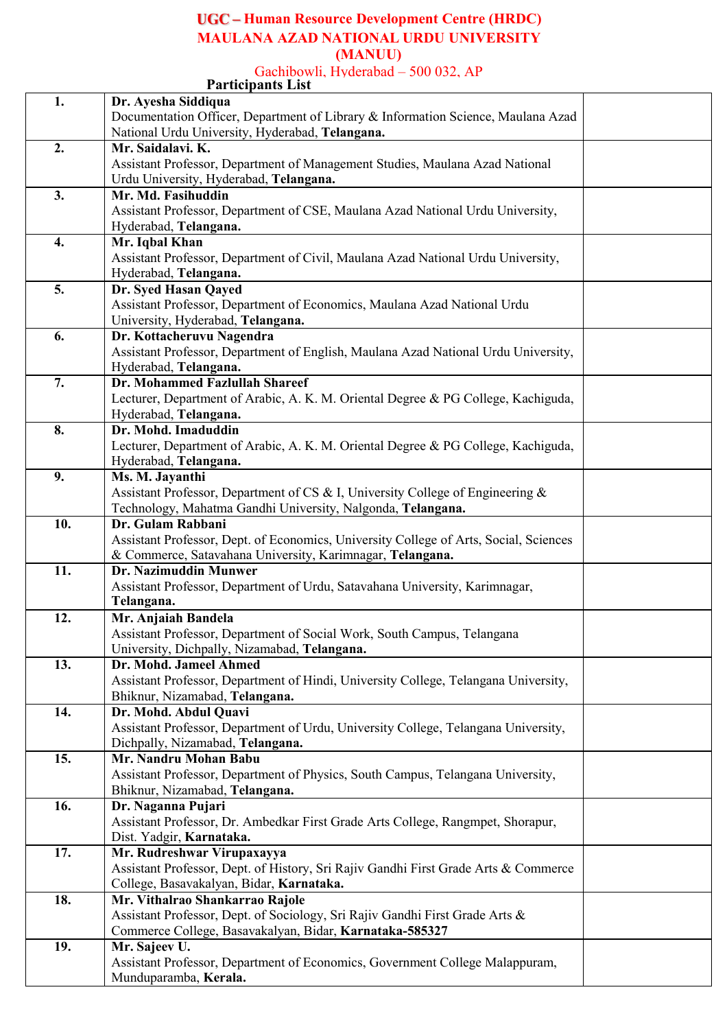### **Human Resource Development Centre (HRDC) MAULANA AZAD NATIONAL URDU UNIVERSITY (MANUU)**

Gachibowli, Hyderabad – 500 032, AP

|     | <b>Participants List</b>                                                              |
|-----|---------------------------------------------------------------------------------------|
| 1.  | Dr. Ayesha Siddiqua                                                                   |
|     | Documentation Officer, Department of Library & Information Science, Maulana Azad      |
|     | National Urdu University, Hyderabad, Telangana.                                       |
| 2.  | Mr. Saidalavi. K.                                                                     |
|     | Assistant Professor, Department of Management Studies, Maulana Azad National          |
|     |                                                                                       |
|     | Urdu University, Hyderabad, Telangana.                                                |
| 3.  | Mr. Md. Fasihuddin                                                                    |
|     | Assistant Professor, Department of CSE, Maulana Azad National Urdu University,        |
|     | Hyderabad, Telangana.                                                                 |
| 4.  | Mr. Iqbal Khan                                                                        |
|     | Assistant Professor, Department of Civil, Maulana Azad National Urdu University,      |
|     | Hyderabad, Telangana.                                                                 |
| 5.  | Dr. Syed Hasan Qayed                                                                  |
|     | Assistant Professor, Department of Economics, Maulana Azad National Urdu              |
|     |                                                                                       |
|     | University, Hyderabad, Telangana.                                                     |
| 6.  | Dr. Kottacheruvu Nagendra                                                             |
|     | Assistant Professor, Department of English, Maulana Azad National Urdu University,    |
|     | Hyderabad, Telangana.                                                                 |
| 7.  | Dr. Mohammed Fazlullah Shareef                                                        |
|     | Lecturer, Department of Arabic, A. K. M. Oriental Degree & PG College, Kachiguda,     |
|     | Hyderabad, Telangana.                                                                 |
| 8.  | Dr. Mohd. Imaduddin                                                                   |
|     | Lecturer, Department of Arabic, A. K. M. Oriental Degree & PG College, Kachiguda,     |
|     | Hyderabad, Telangana.                                                                 |
| 9.  | Ms. M. Jayanthi                                                                       |
|     | Assistant Professor, Department of CS & I, University College of Engineering &        |
|     |                                                                                       |
|     | Technology, Mahatma Gandhi University, Nalgonda, Telangana.                           |
| 10. | Dr. Gulam Rabbani                                                                     |
|     | Assistant Professor, Dept. of Economics, University College of Arts, Social, Sciences |
|     | & Commerce, Satavahana University, Karimnagar, Telangana.                             |
| 11. | <b>Dr. Nazimuddin Munwer</b>                                                          |
|     | Assistant Professor, Department of Urdu, Satavahana University, Karimnagar,           |
|     | Telangana.                                                                            |
| 12. | Mr. Anjaiah Bandela                                                                   |
|     | Assistant Professor, Department of Social Work, South Campus, Telangana               |
|     | University, Dichpally, Nizamabad, Telangana.                                          |
| 13. | Dr. Mohd. Jameel Ahmed                                                                |
|     | Assistant Professor, Department of Hindi, University College, Telangana University,   |
|     | Bhiknur, Nizamabad, Telangana.                                                        |
|     |                                                                                       |
| 14. | Dr. Mohd. Abdul Quavi                                                                 |
|     | Assistant Professor, Department of Urdu, University College, Telangana University,    |
|     | Dichpally, Nizamabad, Telangana.                                                      |
| 15. | Mr. Nandru Mohan Babu                                                                 |
|     | Assistant Professor, Department of Physics, South Campus, Telangana University,       |
|     | Bhiknur, Nizamabad, Telangana.                                                        |
| 16. | Dr. Naganna Pujari                                                                    |
|     | Assistant Professor, Dr. Ambedkar First Grade Arts College, Rangmpet, Shorapur,       |
|     | Dist. Yadgir, Karnataka.                                                              |
| 17. | Mr. Rudreshwar Virupaxayya                                                            |
|     | Assistant Professor, Dept. of History, Sri Rajiv Gandhi First Grade Arts & Commerce   |
|     | College, Basavakalyan, Bidar, Karnataka.                                              |
| 18. | Mr. Vithalrao Shankarrao Rajole                                                       |
|     | Assistant Professor, Dept. of Sociology, Sri Rajiv Gandhi First Grade Arts &          |
|     |                                                                                       |
|     | Commerce College, Basavakalyan, Bidar, Karnataka-585327                               |
| 19. | Mr. Sajeev U.                                                                         |
|     | Assistant Professor, Department of Economics, Government College Malappuram,          |
|     | Munduparamba, Kerala.                                                                 |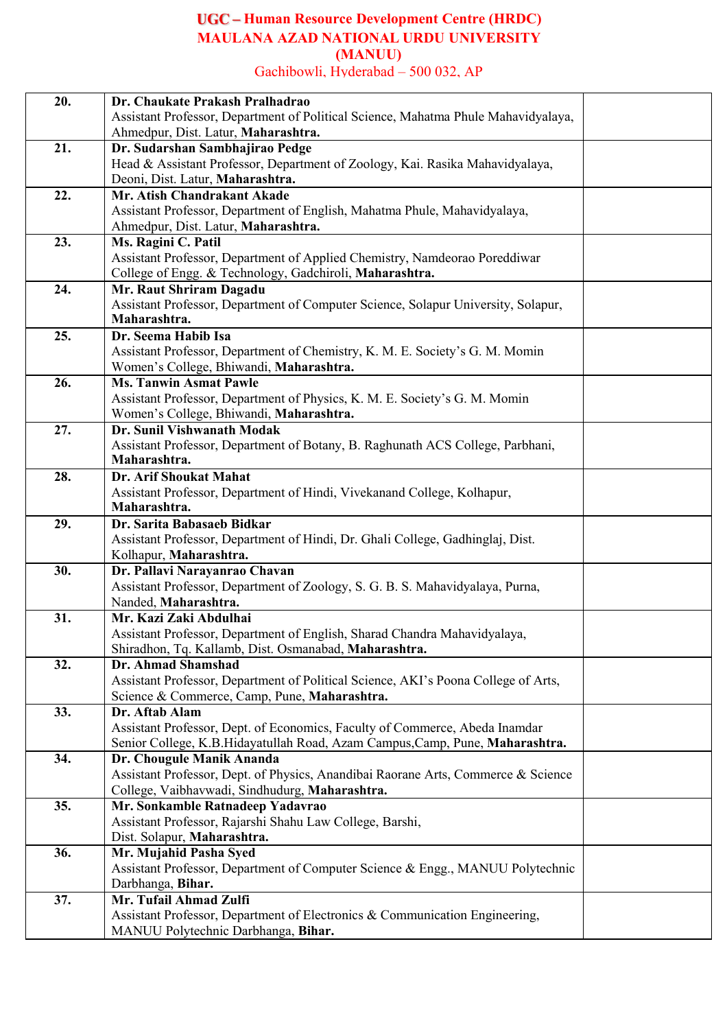### **Human Resource Development Centre (HRDC) MAULANA AZAD NATIONAL URDU UNIVERSITY (MANUU)** Gachibowli, Hyderabad – 500 032, AP

| 20. | Dr. Chaukate Prakash Pralhadrao                                                    |  |
|-----|------------------------------------------------------------------------------------|--|
|     | Assistant Professor, Department of Political Science, Mahatma Phule Mahavidyalaya, |  |
|     | Ahmedpur, Dist. Latur, Maharashtra.                                                |  |
| 21. | Dr. Sudarshan Sambhajirao Pedge                                                    |  |
|     | Head & Assistant Professor, Department of Zoology, Kai. Rasika Mahavidyalaya,      |  |
|     | Deoni, Dist. Latur, Maharashtra.                                                   |  |
| 22. | Mr. Atish Chandrakant Akade                                                        |  |
|     | Assistant Professor, Department of English, Mahatma Phule, Mahavidyalaya,          |  |
|     | Ahmedpur, Dist. Latur, Maharashtra.                                                |  |
| 23. | Ms. Ragini C. Patil                                                                |  |
|     | Assistant Professor, Department of Applied Chemistry, Namdeorao Poreddiwar         |  |
|     | College of Engg. & Technology, Gadchiroli, Maharashtra.                            |  |
| 24. | Mr. Raut Shriram Dagadu                                                            |  |
|     | Assistant Professor, Department of Computer Science, Solapur University, Solapur,  |  |
|     | Maharashtra.                                                                       |  |
| 25. | Dr. Seema Habib Isa                                                                |  |
|     | Assistant Professor, Department of Chemistry, K. M. E. Society's G. M. Momin       |  |
|     | Women's College, Bhiwandi, Maharashtra.                                            |  |
| 26. | <b>Ms. Tanwin Asmat Pawle</b>                                                      |  |
|     | Assistant Professor, Department of Physics, K. M. E. Society's G. M. Momin         |  |
|     | Women's College, Bhiwandi, Maharashtra.                                            |  |
| 27. | Dr. Sunil Vishwanath Modak                                                         |  |
|     | Assistant Professor, Department of Botany, B. Raghunath ACS College, Parbhani,     |  |
|     | Maharashtra.                                                                       |  |
| 28. | Dr. Arif Shoukat Mahat                                                             |  |
|     | Assistant Professor, Department of Hindi, Vivekanand College, Kolhapur,            |  |
|     | Maharashtra.                                                                       |  |
| 29. | Dr. Sarita Babasaeb Bidkar                                                         |  |
|     | Assistant Professor, Department of Hindi, Dr. Ghali College, Gadhinglaj, Dist.     |  |
|     | Kolhapur, Maharashtra.                                                             |  |
| 30. | Dr. Pallavi Narayanrao Chavan                                                      |  |
|     | Assistant Professor, Department of Zoology, S. G. B. S. Mahavidyalaya, Purna,      |  |
|     | Nanded, Maharashtra.                                                               |  |
| 31. | Mr. Kazi Zaki Abdulhai                                                             |  |
|     | Assistant Professor, Department of English, Sharad Chandra Mahavidyalaya,          |  |
|     | Shiradhon, Tq. Kallamb, Dist. Osmanabad, Maharashtra.                              |  |
| 32. | Dr. Ahmad Shamshad                                                                 |  |
|     | Assistant Professor, Department of Political Science, AKI's Poona College of Arts, |  |
|     | Science & Commerce, Camp, Pune, Maharashtra.                                       |  |
| 33. | Dr. Aftab Alam                                                                     |  |
|     | Assistant Professor, Dept. of Economics, Faculty of Commerce, Abeda Inamdar        |  |
|     | Senior College, K.B.Hidayatullah Road, Azam Campus, Camp, Pune, Maharashtra.       |  |
| 34. | Dr. Chougule Manik Ananda                                                          |  |
|     | Assistant Professor, Dept. of Physics, Anandibai Raorane Arts, Commerce & Science  |  |
|     | College, Vaibhavwadi, Sindhudurg, Maharashtra.                                     |  |
| 35. | Mr. Sonkamble Ratnadeep Yadavrao                                                   |  |
|     | Assistant Professor, Rajarshi Shahu Law College, Barshi,                           |  |
|     | Dist. Solapur, Maharashtra.                                                        |  |
| 36. | Mr. Mujahid Pasha Syed                                                             |  |
|     | Assistant Professor, Department of Computer Science & Engg., MANUU Polytechnic     |  |
|     | Darbhanga, Bihar.                                                                  |  |
| 37. | Mr. Tufail Ahmad Zulfi                                                             |  |
|     | Assistant Professor, Department of Electronics & Communication Engineering,        |  |
|     | MANUU Polytechnic Darbhanga, Bihar.                                                |  |
|     |                                                                                    |  |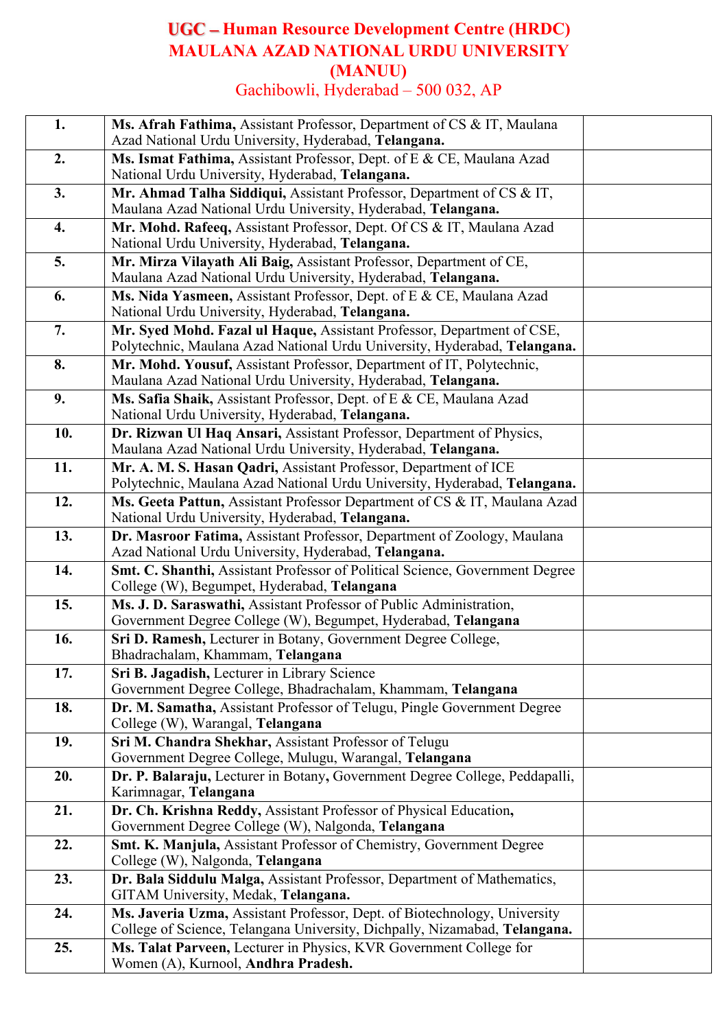# **Human Resource Development Centre (HRDC) MAULANA AZAD NATIONAL URDU UNIVERSITY (MANUU)** Gachibowli, Hyderabad – 500 032, AP

| 1.                 | Ms. Afrah Fathima, Assistant Professor, Department of CS & IT, Maulana<br>Azad National Urdu University, Hyderabad, Telangana.                          |  |
|--------------------|---------------------------------------------------------------------------------------------------------------------------------------------------------|--|
| 2.                 | Ms. Ismat Fathima, Assistant Professor, Dept. of E & CE, Maulana Azad<br>National Urdu University, Hyderabad, Telangana.                                |  |
| 3.                 | Mr. Ahmad Talha Siddiqui, Assistant Professor, Department of CS & IT,<br>Maulana Azad National Urdu University, Hyderabad, Telangana.                   |  |
| $\boldsymbol{4}$ . | Mr. Mohd. Rafeeq, Assistant Professor, Dept. Of CS & IT, Maulana Azad<br>National Urdu University, Hyderabad, Telangana.                                |  |
| 5.                 | Mr. Mirza Vilayath Ali Baig, Assistant Professor, Department of CE,<br>Maulana Azad National Urdu University, Hyderabad, Telangana.                     |  |
| 6.                 | Ms. Nida Yasmeen, Assistant Professor, Dept. of E & CE, Maulana Azad<br>National Urdu University, Hyderabad, Telangana.                                 |  |
| 7.                 | Mr. Syed Mohd. Fazal ul Haque, Assistant Professor, Department of CSE,<br>Polytechnic, Maulana Azad National Urdu University, Hyderabad, Telangana.     |  |
| 8.                 | Mr. Mohd. Yousuf, Assistant Professor, Department of IT, Polytechnic,<br>Maulana Azad National Urdu University, Hyderabad, Telangana.                   |  |
| 9.                 | Ms. Safia Shaik, Assistant Professor, Dept. of E & CE, Maulana Azad<br>National Urdu University, Hyderabad, Telangana.                                  |  |
| 10.                | Dr. Rizwan Ul Haq Ansari, Assistant Professor, Department of Physics,<br>Maulana Azad National Urdu University, Hyderabad, Telangana.                   |  |
| 11.                | Mr. A. M. S. Hasan Qadri, Assistant Professor, Department of ICE<br>Polytechnic, Maulana Azad National Urdu University, Hyderabad, Telangana.           |  |
| 12.                | Ms. Geeta Pattun, Assistant Professor Department of CS & IT, Maulana Azad<br>National Urdu University, Hyderabad, Telangana.                            |  |
| 13.                | Dr. Masroor Fatima, Assistant Professor, Department of Zoology, Maulana<br>Azad National Urdu University, Hyderabad, Telangana.                         |  |
| 14.                | Smt. C. Shanthi, Assistant Professor of Political Science, Government Degree<br>College (W), Begumpet, Hyderabad, Telangana                             |  |
| 15.                | Ms. J. D. Saraswathi, Assistant Professor of Public Administration,<br>Government Degree College (W), Begumpet, Hyderabad, Telangana                    |  |
| 16.                | Sri D. Ramesh, Lecturer in Botany, Government Degree College,<br>Bhadrachalam, Khammam, Telangana                                                       |  |
| 17.                | Sri B. Jagadish, Lecturer in Library Science<br>Government Degree College, Bhadrachalam, Khammam, Telangana                                             |  |
| 18.                | Dr. M. Samatha, Assistant Professor of Telugu, Pingle Government Degree<br>College (W), Warangal, Telangana                                             |  |
| 19.                | Sri M. Chandra Shekhar, Assistant Professor of Telugu<br>Government Degree College, Mulugu, Warangal, Telangana                                         |  |
| 20.                | Dr. P. Balaraju, Lecturer in Botany, Government Degree College, Peddapalli,<br>Karimnagar, Telangana                                                    |  |
| 21.                | Dr. Ch. Krishna Reddy, Assistant Professor of Physical Education,<br>Government Degree College (W), Nalgonda, Telangana                                 |  |
| 22.                | Smt. K. Manjula, Assistant Professor of Chemistry, Government Degree<br>College (W), Nalgonda, Telangana                                                |  |
| 23.                | Dr. Bala Siddulu Malga, Assistant Professor, Department of Mathematics,<br>GITAM University, Medak, Telangana.                                          |  |
| 24.                | Ms. Javeria Uzma, Assistant Professor, Dept. of Biotechnology, University<br>College of Science, Telangana University, Dichpally, Nizamabad, Telangana. |  |
| 25.                | Ms. Talat Parveen, Lecturer in Physics, KVR Government College for<br>Women (A), Kurnool, Andhra Pradesh.                                               |  |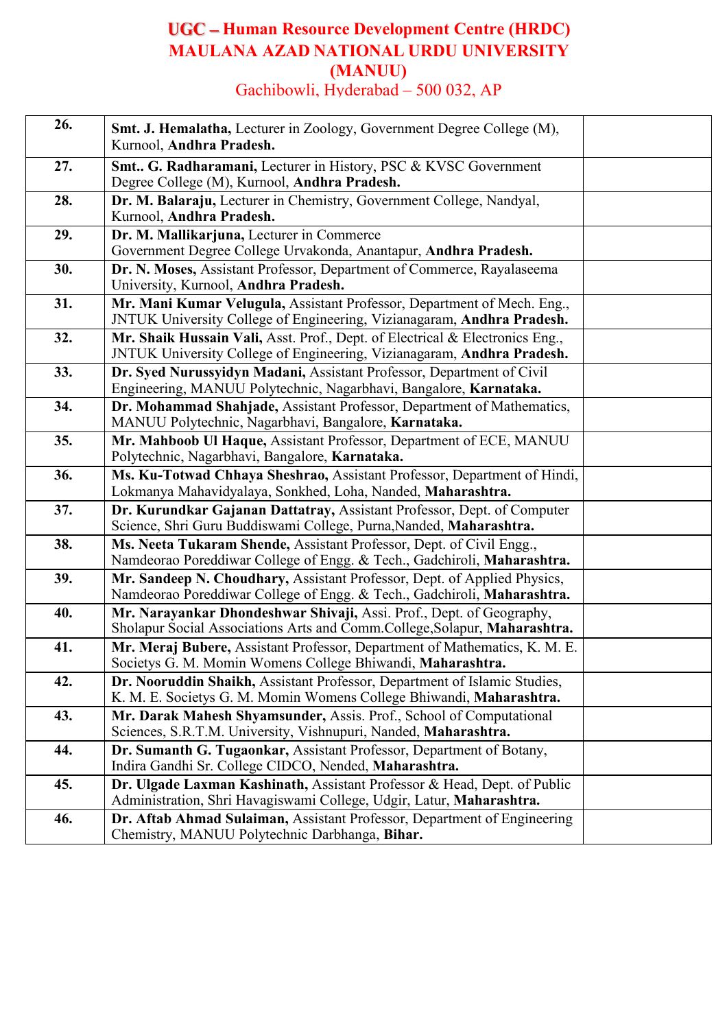# **Human Resource Development Centre (HRDC) MAULANA AZAD NATIONAL URDU UNIVERSITY (MANUU)** Gachibowli, Hyderabad – 500 032, AP

| 26. | <b>Smt. J. Hemalatha, Lecturer in Zoology, Government Degree College (M),</b><br>Kurnool, Andhra Pradesh.                                              |  |
|-----|--------------------------------------------------------------------------------------------------------------------------------------------------------|--|
| 27. | Smt. G. Radharamani, Lecturer in History, PSC & KVSC Government<br>Degree College (M), Kurnool, Andhra Pradesh.                                        |  |
| 28. | Dr. M. Balaraju, Lecturer in Chemistry, Government College, Nandyal,<br>Kurnool, Andhra Pradesh.                                                       |  |
| 29. | Dr. M. Mallikarjuna, Lecturer in Commerce<br>Government Degree College Urvakonda, Anantapur, Andhra Pradesh.                                           |  |
| 30. | Dr. N. Moses, Assistant Professor, Department of Commerce, Rayalaseema<br>University, Kurnool, Andhra Pradesh.                                         |  |
| 31. | Mr. Mani Kumar Velugula, Assistant Professor, Department of Mech. Eng.,<br>JNTUK University College of Engineering, Vizianagaram, Andhra Pradesh.      |  |
| 32. | Mr. Shaik Hussain Vali, Asst. Prof., Dept. of Electrical & Electronics Eng.,<br>JNTUK University College of Engineering, Vizianagaram, Andhra Pradesh. |  |
| 33. | Dr. Syed Nurussyidyn Madani, Assistant Professor, Department of Civil<br>Engineering, MANUU Polytechnic, Nagarbhavi, Bangalore, Karnataka.             |  |
| 34. | Dr. Mohammad Shahjade, Assistant Professor, Department of Mathematics,<br>MANUU Polytechnic, Nagarbhavi, Bangalore, Karnataka.                         |  |
| 35. | Mr. Mahboob Ul Haque, Assistant Professor, Department of ECE, MANUU<br>Polytechnic, Nagarbhavi, Bangalore, Karnataka.                                  |  |
| 36. | Ms. Ku-Totwad Chhaya Sheshrao, Assistant Professor, Department of Hindi,<br>Lokmanya Mahavidyalaya, Sonkhed, Loha, Nanded, Maharashtra.                |  |
| 37. | Dr. Kurundkar Gajanan Dattatray, Assistant Professor, Dept. of Computer<br>Science, Shri Guru Buddiswami College, Purna, Nanded, Maharashtra.          |  |
| 38. | Ms. Neeta Tukaram Shende, Assistant Professor, Dept. of Civil Engg.,<br>Namdeorao Poreddiwar College of Engg. & Tech., Gadchiroli, Maharashtra.        |  |
| 39. | Mr. Sandeep N. Choudhary, Assistant Professor, Dept. of Applied Physics,<br>Namdeorao Poreddiwar College of Engg. & Tech., Gadchiroli, Maharashtra.    |  |
| 40. | Mr. Narayankar Dhondeshwar Shivaji, Assi. Prof., Dept. of Geography,<br>Sholapur Social Associations Arts and Comm.College, Solapur, Maharashtra.      |  |
| 41. | Mr. Meraj Bubere, Assistant Professor, Department of Mathematics, K. M. E.<br>Societys G. M. Momin Womens College Bhiwandi, Maharashtra.               |  |
| 42. | Dr. Nooruddin Shaikh, Assistant Professor, Department of Islamic Studies,<br>K. M. E. Societys G. M. Momin Womens College Bhiwandi, Maharashtra.       |  |
| 43. | Mr. Darak Mahesh Shyamsunder, Assis. Prof., School of Computational<br>Sciences, S.R.T.M. University, Vishnupuri, Nanded, Maharashtra.                 |  |
| 44. | Dr. Sumanth G. Tugaonkar, Assistant Professor, Department of Botany,<br>Indira Gandhi Sr. College CIDCO, Nended, Maharashtra.                          |  |
| 45. | Dr. Ulgade Laxman Kashinath, Assistant Professor & Head, Dept. of Public<br>Administration, Shri Havagiswami College, Udgir, Latur, Maharashtra.       |  |
| 46. | Dr. Aftab Ahmad Sulaiman, Assistant Professor, Department of Engineering<br>Chemistry, MANUU Polytechnic Darbhanga, Bihar.                             |  |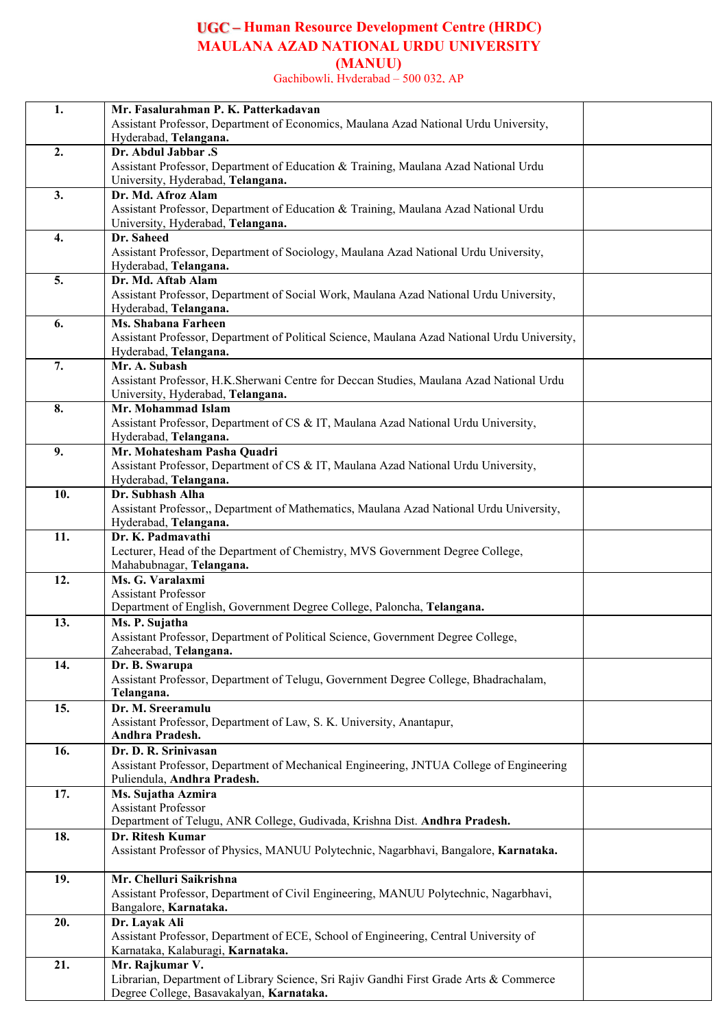### **Human Resource Development Centre (HRDC) MAULANA AZAD NATIONAL URDU UNIVERSITY (MANUU)**

Gachibowli, Hyderabad – 500 032, AP

| 1.  | Mr. Fasalurahman P. K. Patterkadavan                                                                                      |  |
|-----|---------------------------------------------------------------------------------------------------------------------------|--|
|     | Assistant Professor, Department of Economics, Maulana Azad National Urdu University,                                      |  |
|     | Hyderabad, Telangana.                                                                                                     |  |
| 2.  | Dr. Abdul Jabbar .S                                                                                                       |  |
|     | Assistant Professor, Department of Education & Training, Maulana Azad National Urdu                                       |  |
|     | University, Hyderabad, Telangana.                                                                                         |  |
| 3.  | Dr. Md. Afroz Alam                                                                                                        |  |
|     | Assistant Professor, Department of Education & Training, Maulana Azad National Urdu                                       |  |
|     | University, Hyderabad, Telangana.                                                                                         |  |
| 4.  | Dr. Saheed                                                                                                                |  |
|     | Assistant Professor, Department of Sociology, Maulana Azad National Urdu University,                                      |  |
|     | Hyderabad, Telangana.                                                                                                     |  |
| 5.  | Dr. Md. Aftab Alam                                                                                                        |  |
|     | Assistant Professor, Department of Social Work, Maulana Azad National Urdu University,                                    |  |
|     | Hyderabad, Telangana.                                                                                                     |  |
| 6.  | Ms. Shabana Farheen                                                                                                       |  |
|     | Assistant Professor, Department of Political Science, Maulana Azad National Urdu University,                              |  |
|     | Hyderabad, Telangana.                                                                                                     |  |
| 7.  | Mr. A. Subash                                                                                                             |  |
|     | Assistant Professor, H.K.Sherwani Centre for Deccan Studies, Maulana Azad National Urdu                                   |  |
|     | University, Hyderabad, Telangana.                                                                                         |  |
| 8.  | Mr. Mohammad Islam                                                                                                        |  |
|     | Assistant Professor, Department of CS & IT, Maulana Azad National Urdu University,                                        |  |
|     | Hyderabad, Telangana.                                                                                                     |  |
| 9.  | Mr. Mohatesham Pasha Quadri                                                                                               |  |
|     | Assistant Professor, Department of CS & IT, Maulana Azad National Urdu University,                                        |  |
|     | Hyderabad, Telangana.                                                                                                     |  |
| 10. | Dr. Subhash Alha                                                                                                          |  |
|     | Assistant Professor,, Department of Mathematics, Maulana Azad National Urdu University,                                   |  |
|     | Hyderabad, Telangana.                                                                                                     |  |
| 11. | Dr. K. Padmavathi                                                                                                         |  |
|     | Lecturer, Head of the Department of Chemistry, MVS Government Degree College,                                             |  |
|     | Mahabubnagar, Telangana.                                                                                                  |  |
| 12. | Ms. G. Varalaxmi                                                                                                          |  |
|     | <b>Assistant Professor</b>                                                                                                |  |
|     | Department of English, Government Degree College, Paloncha, Telangana.                                                    |  |
| 13. | Ms. P. Sujatha                                                                                                            |  |
|     | Assistant Professor, Department of Political Science, Government Degree College,                                          |  |
|     | Zaheerabad, Telangana.                                                                                                    |  |
| 14. | Dr. B. Swarupa                                                                                                            |  |
|     | Assistant Professor, Department of Telugu, Government Degree College, Bhadrachalam,                                       |  |
|     | Telangana.                                                                                                                |  |
| 15. | Dr. M. Sreeramulu                                                                                                         |  |
|     | Assistant Professor, Department of Law, S. K. University, Anantapur,                                                      |  |
|     | Andhra Pradesh.                                                                                                           |  |
| 16. | Dr. D. R. Srinivasan                                                                                                      |  |
|     | Assistant Professor, Department of Mechanical Engineering, JNTUA College of Engineering                                   |  |
|     | Puliendula, Andhra Pradesh.                                                                                               |  |
| 17. | Ms. Sujatha Azmira                                                                                                        |  |
|     | <b>Assistant Professor</b>                                                                                                |  |
|     | Department of Telugu, ANR College, Gudivada, Krishna Dist. Andhra Pradesh.                                                |  |
| 18. | Dr. Ritesh Kumar                                                                                                          |  |
|     | Assistant Professor of Physics, MANUU Polytechnic, Nagarbhavi, Bangalore, Karnataka.                                      |  |
|     |                                                                                                                           |  |
| 19. | Mr. Chelluri Saikrishna                                                                                                   |  |
|     | Assistant Professor, Department of Civil Engineering, MANUU Polytechnic, Nagarbhavi,                                      |  |
|     | Bangalore, Karnataka.                                                                                                     |  |
| 20. | Dr. Layak Ali                                                                                                             |  |
|     | Assistant Professor, Department of ECE, School of Engineering, Central University of<br>Karnataka, Kalaburagi, Karnataka. |  |
| 21. | Mr. Rajkumar V.                                                                                                           |  |
|     | Librarian, Department of Library Science, Sri Rajiv Gandhi First Grade Arts & Commerce                                    |  |
|     | Degree College, Basavakalyan, Karnataka.                                                                                  |  |
|     |                                                                                                                           |  |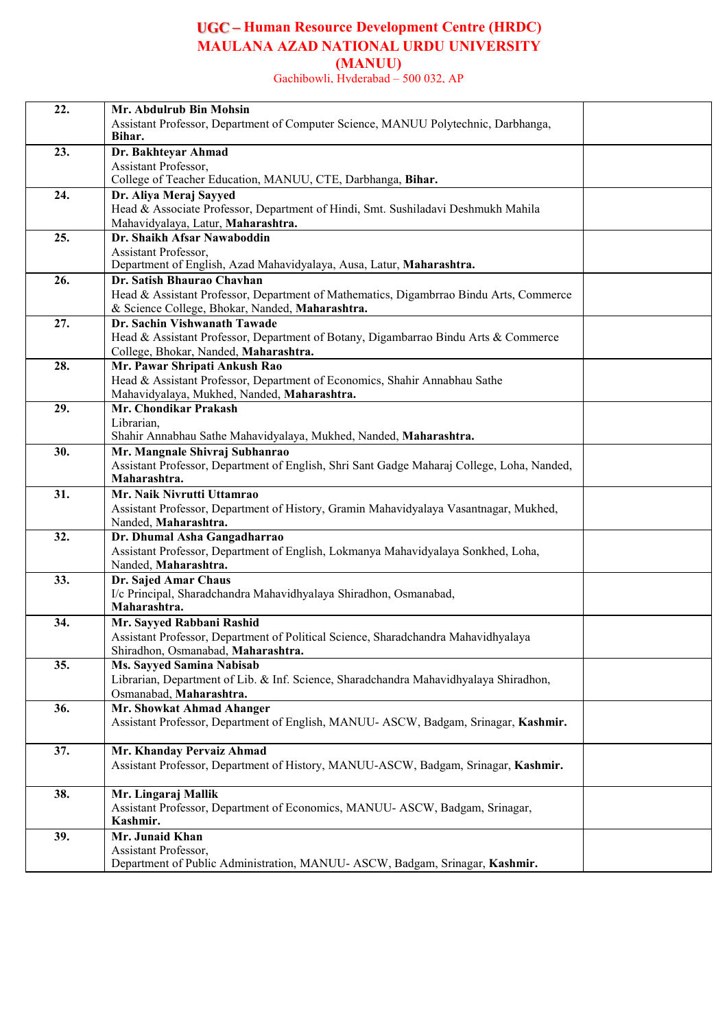**Human Resource Development Centre (HRDC) MAULANA AZAD NATIONAL URDU UNIVERSITY (MANUU)**

Gachibowli, Hyderabad – 500 032, AP

| 22. | Mr. Abdulrub Bin Mohsin                                                                                                      |
|-----|------------------------------------------------------------------------------------------------------------------------------|
|     | Assistant Professor, Department of Computer Science, MANUU Polytechnic, Darbhanga,<br>Bihar.                                 |
| 23. | Dr. Bakhteyar Ahmad                                                                                                          |
|     | Assistant Professor,                                                                                                         |
|     | College of Teacher Education, MANUU, CTE, Darbhanga, Bihar.                                                                  |
| 24. | Dr. Aliya Meraj Sayyed                                                                                                       |
|     | Head & Associate Professor, Department of Hindi, Smt. Sushiladavi Deshmukh Mahila                                            |
|     | Mahavidyalaya, Latur, Maharashtra.                                                                                           |
| 25. | Dr. Shaikh Afsar Nawaboddin<br><b>Assistant Professor.</b>                                                                   |
|     | Department of English, Azad Mahavidyalaya, Ausa, Latur, Maharashtra.                                                         |
| 26. | Dr. Satish Bhaurao Chavhan                                                                                                   |
|     | Head & Assistant Professor, Department of Mathematics, Digambrrao Bindu Arts, Commerce                                       |
|     | & Science College, Bhokar, Nanded, Maharashtra.                                                                              |
| 27. | Dr. Sachin Vishwanath Tawade                                                                                                 |
|     | Head & Assistant Professor, Department of Botany, Digambarrao Bindu Arts & Commerce                                          |
|     | College, Bhokar, Nanded, Maharashtra.                                                                                        |
| 28. | Mr. Pawar Shripati Ankush Rao                                                                                                |
|     | Head & Assistant Professor, Department of Economics, Shahir Annabhau Sathe                                                   |
|     | Mahavidyalaya, Mukhed, Nanded, Maharashtra.                                                                                  |
| 29. | Mr. Chondikar Prakash                                                                                                        |
|     | Librarian,                                                                                                                   |
|     | Shahir Annabhau Sathe Mahavidyalaya, Mukhed, Nanded, Maharashtra.                                                            |
| 30. | Mr. Mangnale Shivraj Subhanrao<br>Assistant Professor, Department of English, Shri Sant Gadge Maharaj College, Loha, Nanded, |
|     | Maharashtra.                                                                                                                 |
| 31. | Mr. Naik Nivrutti Uttamrao                                                                                                   |
|     | Assistant Professor, Department of History, Gramin Mahavidyalaya Vasantnagar, Mukhed,                                        |
|     | Nanded, Maharashtra.                                                                                                         |
| 32. | Dr. Dhumal Asha Gangadharrao                                                                                                 |
|     | Assistant Professor, Department of English, Lokmanya Mahavidyalaya Sonkhed, Loha,                                            |
|     | Nanded, Maharashtra.                                                                                                         |
| 33. | Dr. Sajed Amar Chaus                                                                                                         |
|     | I/c Principal, Sharadchandra Mahavidhyalaya Shiradhon, Osmanabad,                                                            |
|     | Maharashtra.                                                                                                                 |
| 34. | Mr. Sayyed Rabbani Rashid                                                                                                    |
|     | Assistant Professor, Department of Political Science, Sharadchandra Mahavidhyalaya<br>Shiradhon, Osmanabad, Maharashtra.     |
| 35. | Ms. Sayyed Samina Nabisab                                                                                                    |
|     | Librarian, Department of Lib. & Inf. Science, Sharadchandra Mahavidhyalaya Shiradhon,                                        |
|     | Osmanabad, Maharashtra.                                                                                                      |
| 36. | Mr. Showkat Ahmad Ahanger                                                                                                    |
|     | Assistant Professor, Department of English, MANUU-ASCW, Badgam, Srinagar, Kashmir.                                           |
|     |                                                                                                                              |
| 37. | Mr. Khanday Pervaiz Ahmad                                                                                                    |
|     | Assistant Professor, Department of History, MANUU-ASCW, Badgam, Srinagar, Kashmir.                                           |
| 38. | Mr. Lingaraj Mallik                                                                                                          |
|     | Assistant Professor, Department of Economics, MANUU-ASCW, Badgam, Srinagar,                                                  |
|     | Kashmir.                                                                                                                     |
| 39. | Mr. Junaid Khan                                                                                                              |
|     | Assistant Professor,                                                                                                         |
|     | Department of Public Administration, MANUU-ASCW, Badgam, Srinagar, Kashmir.                                                  |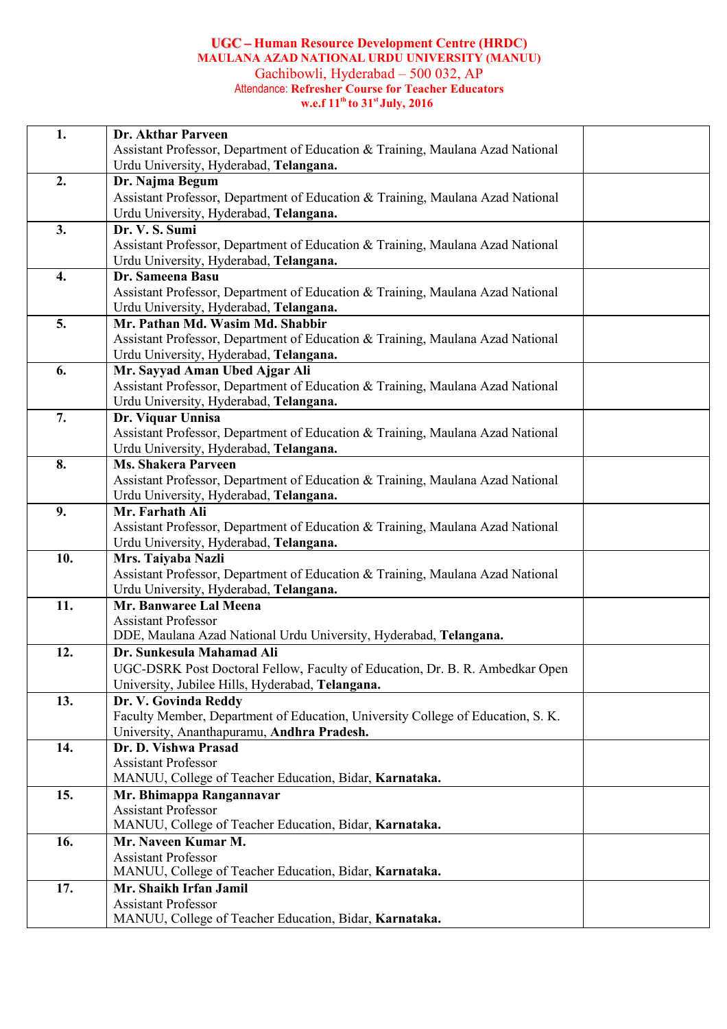#### **Human Resource Development Centre (HRDC) MAULANA AZAD NATIONAL URDU UNIVERSITY (MANUU)** Gachibowli, Hyderabad – 500 032, AP Attendance: **Refresher Course for Teacher Educators w.e.f 11 th to 31 st July, 2016**

| 1.  | Dr. Akthar Parveen                                                                   |  |
|-----|--------------------------------------------------------------------------------------|--|
|     | Assistant Professor, Department of Education & Training, Maulana Azad National       |  |
|     | Urdu University, Hyderabad, Telangana.                                               |  |
| 2.  | Dr. Najma Begum                                                                      |  |
|     | Assistant Professor, Department of Education & Training, Maulana Azad National       |  |
|     | Urdu University, Hyderabad, Telangana.                                               |  |
| 3.  | Dr. V. S. Sumi                                                                       |  |
|     | Assistant Professor, Department of Education & Training, Maulana Azad National       |  |
|     | Urdu University, Hyderabad, Telangana.                                               |  |
| 4.  | Dr. Sameena Basu                                                                     |  |
|     | Assistant Professor, Department of Education & Training, Maulana Azad National       |  |
|     | Urdu University, Hyderabad, Telangana.                                               |  |
| 5.  | Mr. Pathan Md. Wasim Md. Shabbir                                                     |  |
|     | Assistant Professor, Department of Education & Training, Maulana Azad National       |  |
|     | Urdu University, Hyderabad, Telangana.                                               |  |
| 6.  | Mr. Sayyad Aman Ubed Ajgar Ali                                                       |  |
|     | Assistant Professor, Department of Education & Training, Maulana Azad National       |  |
| 7.  | Urdu University, Hyderabad, Telangana.<br>Dr. Viquar Unnisa                          |  |
|     | Assistant Professor, Department of Education & Training, Maulana Azad National       |  |
|     | Urdu University, Hyderabad, Telangana.                                               |  |
| 8.  | <b>Ms. Shakera Parveen</b>                                                           |  |
|     | Assistant Professor, Department of Education & Training, Maulana Azad National       |  |
|     | Urdu University, Hyderabad, Telangana.                                               |  |
| 9.  | Mr. Farhath Ali                                                                      |  |
|     | Assistant Professor, Department of Education & Training, Maulana Azad National       |  |
|     | Urdu University, Hyderabad, Telangana.                                               |  |
| 10. | Mrs. Taiyaba Nazli                                                                   |  |
|     | Assistant Professor, Department of Education & Training, Maulana Azad National       |  |
|     | Urdu University, Hyderabad, Telangana.                                               |  |
| 11. | Mr. Banwaree Lal Meena                                                               |  |
|     | <b>Assistant Professor</b>                                                           |  |
|     | DDE, Maulana Azad National Urdu University, Hyderabad, Telangana.                    |  |
| 12. | Dr. Sunkesula Mahamad Ali                                                            |  |
|     | UGC-DSRK Post Doctoral Fellow, Faculty of Education, Dr. B. R. Ambedkar Open         |  |
|     | University, Jubilee Hills, Hyderabad, Telangana.                                     |  |
| 13. | Dr. V. Govinda Reddy                                                                 |  |
|     | Faculty Member, Department of Education, University College of Education, S. K.      |  |
|     | University, Ananthapuramu, Andhra Pradesh.                                           |  |
| 14. | Dr. D. Vishwa Prasad                                                                 |  |
|     | <b>Assistant Professor</b>                                                           |  |
|     | MANUU, College of Teacher Education, Bidar, Karnataka.                               |  |
| 15. | Mr. Bhimappa Rangannavar                                                             |  |
|     | <b>Assistant Professor</b><br>MANUU, College of Teacher Education, Bidar, Karnataka. |  |
|     | Mr. Naveen Kumar M.                                                                  |  |
| 16. |                                                                                      |  |
|     | <b>Assistant Professor</b><br>MANUU, College of Teacher Education, Bidar, Karnataka. |  |
| 17. | Mr. Shaikh Irfan Jamil                                                               |  |
|     | <b>Assistant Professor</b>                                                           |  |
|     | MANUU, College of Teacher Education, Bidar, Karnataka.                               |  |
|     |                                                                                      |  |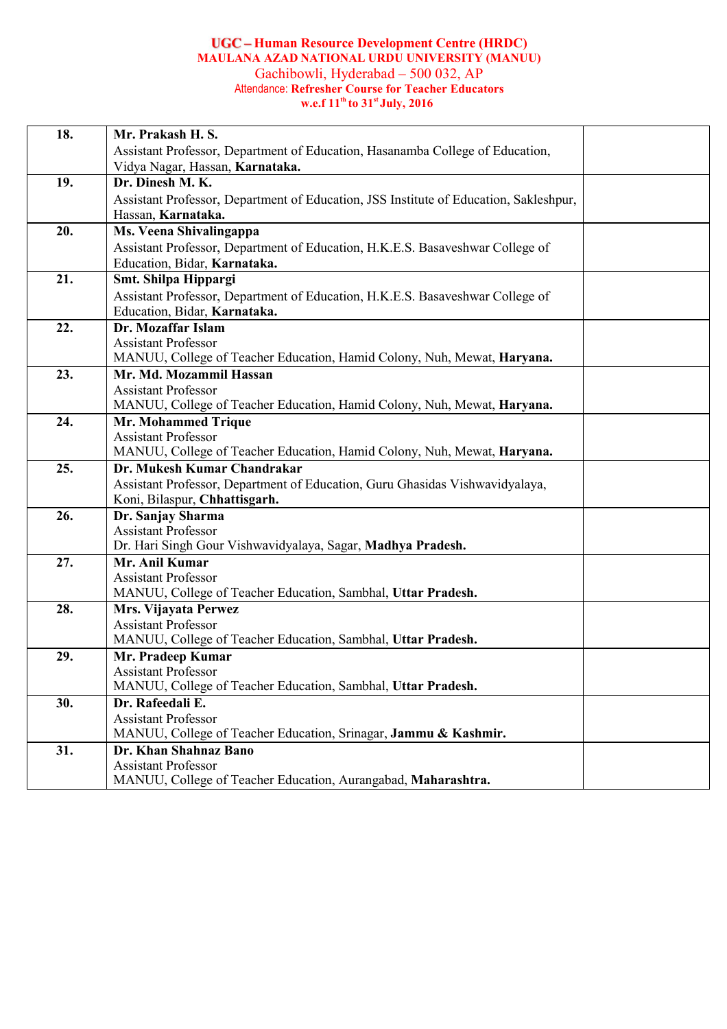#### **Human Resource Development Centre (HRDC) MAULANA AZAD NATIONAL URDU UNIVERSITY (MANUU)** Gachibowli, Hyderabad – 500 032, AP Attendance: **Refresher Course for Teacher Educators w.e.f 11 th to 31 st July, 2016**

| 18. | Mr. Prakash H. S.                                                                          |
|-----|--------------------------------------------------------------------------------------------|
|     | Assistant Professor, Department of Education, Hasanamba College of Education,              |
|     | Vidya Nagar, Hassan, Karnataka.                                                            |
| 19. | Dr. Dinesh M. K.                                                                           |
|     | Assistant Professor, Department of Education, JSS Institute of Education, Sakleshpur,      |
|     | Hassan, Karnataka.                                                                         |
| 20. | Ms. Veena Shivalingappa                                                                    |
|     | Assistant Professor, Department of Education, H.K.E.S. Basaveshwar College of              |
|     | Education, Bidar, Karnataka.                                                               |
| 21. | Smt. Shilpa Hippargi                                                                       |
|     | Assistant Professor, Department of Education, H.K.E.S. Basaveshwar College of              |
|     | Education, Bidar, Karnataka.                                                               |
| 22. | Dr. Mozaffar Islam                                                                         |
|     | <b>Assistant Professor</b>                                                                 |
|     | MANUU, College of Teacher Education, Hamid Colony, Nuh, Mewat, Haryana.                    |
| 23. | Mr. Md. Mozammil Hassan<br><b>Assistant Professor</b>                                      |
|     | MANUU, College of Teacher Education, Hamid Colony, Nuh, Mewat, Haryana.                    |
| 24. | <b>Mr. Mohammed Trique</b>                                                                 |
|     | <b>Assistant Professor</b>                                                                 |
|     | MANUU, College of Teacher Education, Hamid Colony, Nuh, Mewat, Haryana.                    |
| 25. | Dr. Mukesh Kumar Chandrakar                                                                |
|     | Assistant Professor, Department of Education, Guru Ghasidas Vishwavidyalaya,               |
|     | Koni, Bilaspur, Chhattisgarh.                                                              |
| 26. | Dr. Sanjay Sharma                                                                          |
|     | <b>Assistant Professor</b>                                                                 |
|     | Dr. Hari Singh Gour Vishwavidyalaya, Sagar, Madhya Pradesh.                                |
| 27. | Mr. Anil Kumar                                                                             |
|     | <b>Assistant Professor</b>                                                                 |
|     | MANUU, College of Teacher Education, Sambhal, Uttar Pradesh.                               |
| 28. | Mrs. Vijayata Perwez                                                                       |
|     | <b>Assistant Professor</b><br>MANUU, College of Teacher Education, Sambhal, Uttar Pradesh. |
| 29. | Mr. Pradeep Kumar                                                                          |
|     | <b>Assistant Professor</b>                                                                 |
|     | MANUU, College of Teacher Education, Sambhal, Uttar Pradesh.                               |
| 30. | Dr. Rafeedali E.                                                                           |
|     | <b>Assistant Professor</b>                                                                 |
|     | MANUU, College of Teacher Education, Srinagar, Jammu & Kashmir.                            |
| 31. | Dr. Khan Shahnaz Bano                                                                      |
|     | <b>Assistant Professor</b>                                                                 |
|     | MANUU, College of Teacher Education, Aurangabad, Maharashtra.                              |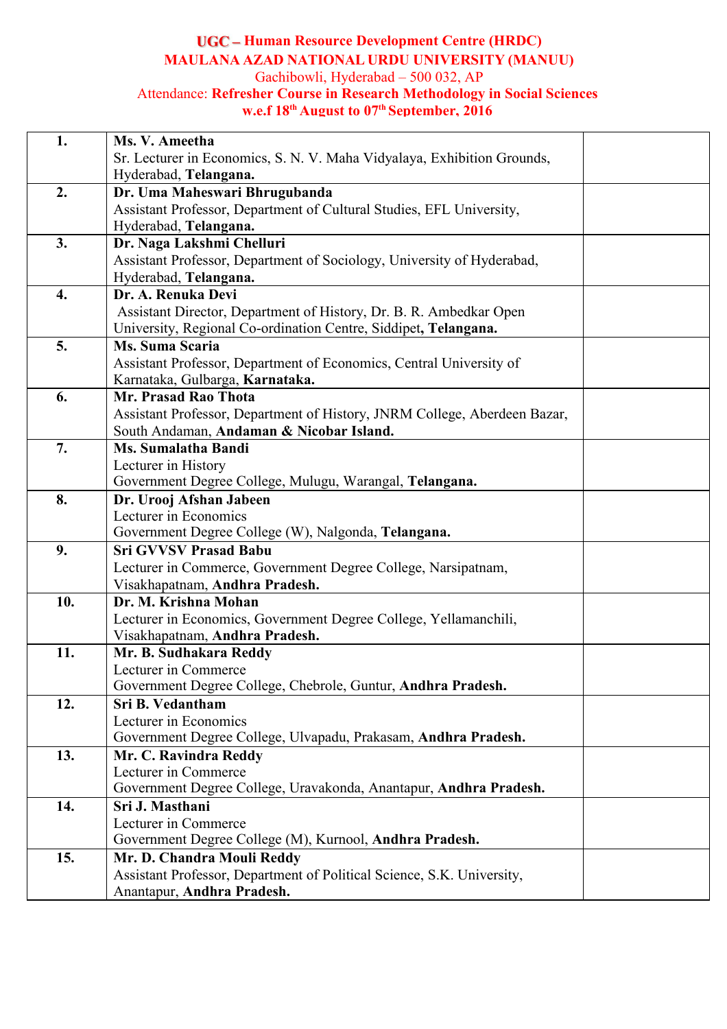## **Human Resource Development Centre (HRDC) MAULANA AZAD NATIONAL URDU UNIVERSITY (MANUU)** Gachibowli, Hyderabad – 500 032, AP

#### Attendance: **Refresher Course in Research Methodology in Social Sciences w.e.f 18 th August to 07 th September, 2016**

| 1.  | Ms. V. Ameetha                                                               |  |
|-----|------------------------------------------------------------------------------|--|
|     | Sr. Lecturer in Economics, S. N. V. Maha Vidyalaya, Exhibition Grounds,      |  |
|     | Hyderabad, Telangana.                                                        |  |
| 2.  | Dr. Uma Maheswari Bhrugubanda                                                |  |
|     | Assistant Professor, Department of Cultural Studies, EFL University,         |  |
|     | Hyderabad, Telangana.                                                        |  |
| 3.  | Dr. Naga Lakshmi Chelluri                                                    |  |
|     | Assistant Professor, Department of Sociology, University of Hyderabad,       |  |
|     | Hyderabad, Telangana.                                                        |  |
| 4.  | Dr. A. Renuka Devi                                                           |  |
|     | Assistant Director, Department of History, Dr. B. R. Ambedkar Open           |  |
|     | University, Regional Co-ordination Centre, Siddipet, Telangana.              |  |
| 5.  | Ms. Suma Scaria                                                              |  |
|     | Assistant Professor, Department of Economics, Central University of          |  |
|     | Karnataka, Gulbarga, Karnataka.                                              |  |
| 6.  | Mr. Prasad Rao Thota                                                         |  |
|     | Assistant Professor, Department of History, JNRM College, Aberdeen Bazar,    |  |
|     | South Andaman, Andaman & Nicobar Island.                                     |  |
| 7.  | <b>Ms. Sumalatha Bandi</b>                                                   |  |
|     | Lecturer in History                                                          |  |
|     | Government Degree College, Mulugu, Warangal, Telangana.                      |  |
| 8.  | Dr. Urooj Afshan Jabeen                                                      |  |
|     | Lecturer in Economics<br>Government Degree College (W), Nalgonda, Telangana. |  |
| 9.  | <b>Sri GVVSV Prasad Babu</b>                                                 |  |
|     | Lecturer in Commerce, Government Degree College, Narsipatnam,                |  |
|     | Visakhapatnam, Andhra Pradesh.                                               |  |
| 10. | Dr. M. Krishna Mohan                                                         |  |
|     | Lecturer in Economics, Government Degree College, Yellamanchili,             |  |
|     | Visakhapatnam, Andhra Pradesh.                                               |  |
| 11. | Mr. B. Sudhakara Reddy                                                       |  |
|     | Lecturer in Commerce                                                         |  |
|     | Government Degree College, Chebrole, Guntur, Andhra Pradesh.                 |  |
| 12. | Sri B. Vedantham                                                             |  |
|     | Lecturer in Economics                                                        |  |
|     | Government Degree College, Ulvapadu, Prakasam, Andhra Pradesh.               |  |
| 13. | Mr. C. Ravindra Reddy                                                        |  |
|     | Lecturer in Commerce                                                         |  |
|     | Government Degree College, Uravakonda, Anantapur, Andhra Pradesh.            |  |
| 14. | Sri J. Masthani                                                              |  |
|     | Lecturer in Commerce                                                         |  |
|     | Government Degree College (M), Kurnool, Andhra Pradesh.                      |  |
| 15. | Mr. D. Chandra Mouli Reddy                                                   |  |
|     | Assistant Professor, Department of Political Science, S.K. University,       |  |
|     | Anantapur, Andhra Pradesh.                                                   |  |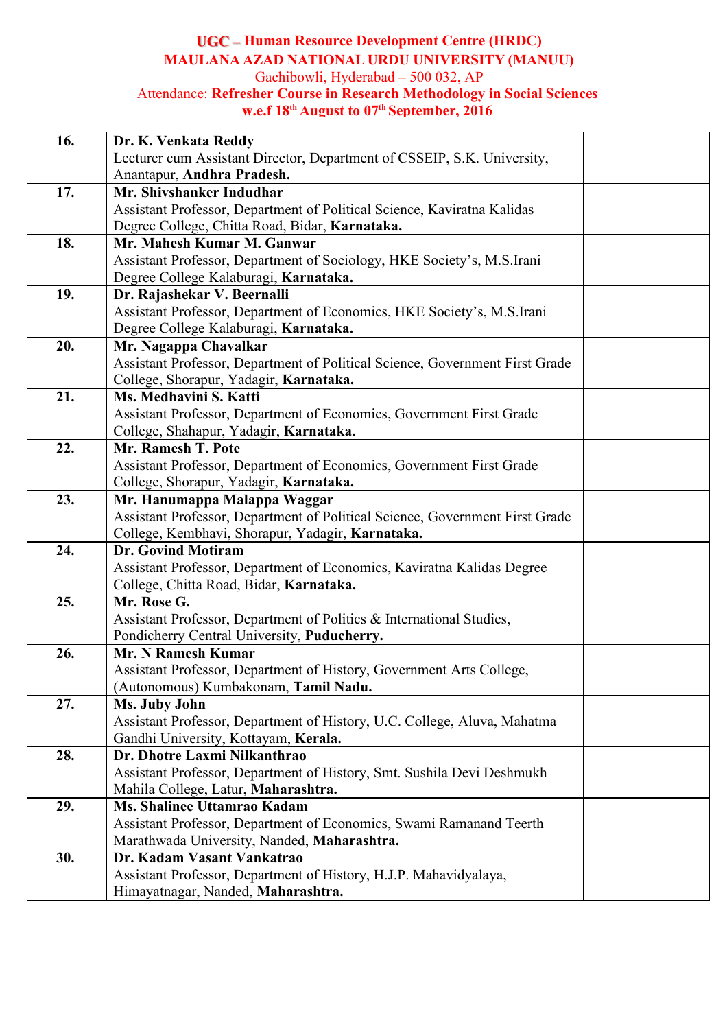### **Human Resource Development Centre (HRDC) MAULANA AZAD NATIONAL URDU UNIVERSITY (MANUU)** Gachibowli, Hyderabad – 500 032, AP Attendance: **Refresher Course in Research Methodology in Social Sciences**

# **w.e.f 18 th August to 07 th September, 2016**

| 16. | Dr. K. Venkata Reddy                                                                                         |  |
|-----|--------------------------------------------------------------------------------------------------------------|--|
|     | Lecturer cum Assistant Director, Department of CSSEIP, S.K. University,                                      |  |
|     | Anantapur, Andhra Pradesh.                                                                                   |  |
| 17. | Mr. Shivshanker Indudhar                                                                                     |  |
|     | Assistant Professor, Department of Political Science, Kaviratna Kalidas                                      |  |
|     | Degree College, Chitta Road, Bidar, Karnataka.                                                               |  |
| 18. | Mr. Mahesh Kumar M. Ganwar                                                                                   |  |
|     | Assistant Professor, Department of Sociology, HKE Society's, M.S.Irani                                       |  |
|     | Degree College Kalaburagi, Karnataka.                                                                        |  |
| 19. | Dr. Rajashekar V. Beernalli                                                                                  |  |
|     | Assistant Professor, Department of Economics, HKE Society's, M.S.Irani                                       |  |
|     | Degree College Kalaburagi, Karnataka.                                                                        |  |
| 20. | Mr. Nagappa Chavalkar                                                                                        |  |
|     | Assistant Professor, Department of Political Science, Government First Grade                                 |  |
|     | College, Shorapur, Yadagir, Karnataka.                                                                       |  |
| 21. | Ms. Medhavini S. Katti                                                                                       |  |
|     | Assistant Professor, Department of Economics, Government First Grade                                         |  |
|     | College, Shahapur, Yadagir, Karnataka.                                                                       |  |
| 22. | Mr. Ramesh T. Pote                                                                                           |  |
|     | Assistant Professor, Department of Economics, Government First Grade                                         |  |
|     | College, Shorapur, Yadagir, Karnataka.                                                                       |  |
| 23. | Mr. Hanumappa Malappa Waggar                                                                                 |  |
|     | Assistant Professor, Department of Political Science, Government First Grade                                 |  |
|     | College, Kembhavi, Shorapur, Yadagir, Karnataka.                                                             |  |
| 24. | <b>Dr. Govind Motiram</b>                                                                                    |  |
|     | Assistant Professor, Department of Economics, Kaviratna Kalidas Degree                                       |  |
|     | College, Chitta Road, Bidar, Karnataka.                                                                      |  |
| 25. | Mr. Rose G.                                                                                                  |  |
|     | Assistant Professor, Department of Politics & International Studies,                                         |  |
| 26. | Pondicherry Central University, Puducherry.<br>Mr. N Ramesh Kumar                                            |  |
|     |                                                                                                              |  |
|     | Assistant Professor, Department of History, Government Arts College,<br>(Autonomous) Kumbakonam, Tamil Nadu. |  |
| 27. | Ms. Juby John                                                                                                |  |
|     | Assistant Professor, Department of History, U.C. College, Aluva, Mahatma                                     |  |
|     | Gandhi University, Kottayam, Kerala.                                                                         |  |
| 28. | Dr. Dhotre Laxmi Nilkanthrao                                                                                 |  |
|     | Assistant Professor, Department of History, Smt. Sushila Devi Deshmukh                                       |  |
|     | Mahila College, Latur, Maharashtra.                                                                          |  |
| 29. | Ms. Shalinee Uttamrao Kadam                                                                                  |  |
|     | Assistant Professor, Department of Economics, Swami Ramanand Teerth                                          |  |
|     | Marathwada University, Nanded, Maharashtra.                                                                  |  |
| 30. | Dr. Kadam Vasant Vankatrao                                                                                   |  |
|     | Assistant Professor, Department of History, H.J.P. Mahavidyalaya,                                            |  |
|     | Himayatnagar, Nanded, Maharashtra.                                                                           |  |
|     |                                                                                                              |  |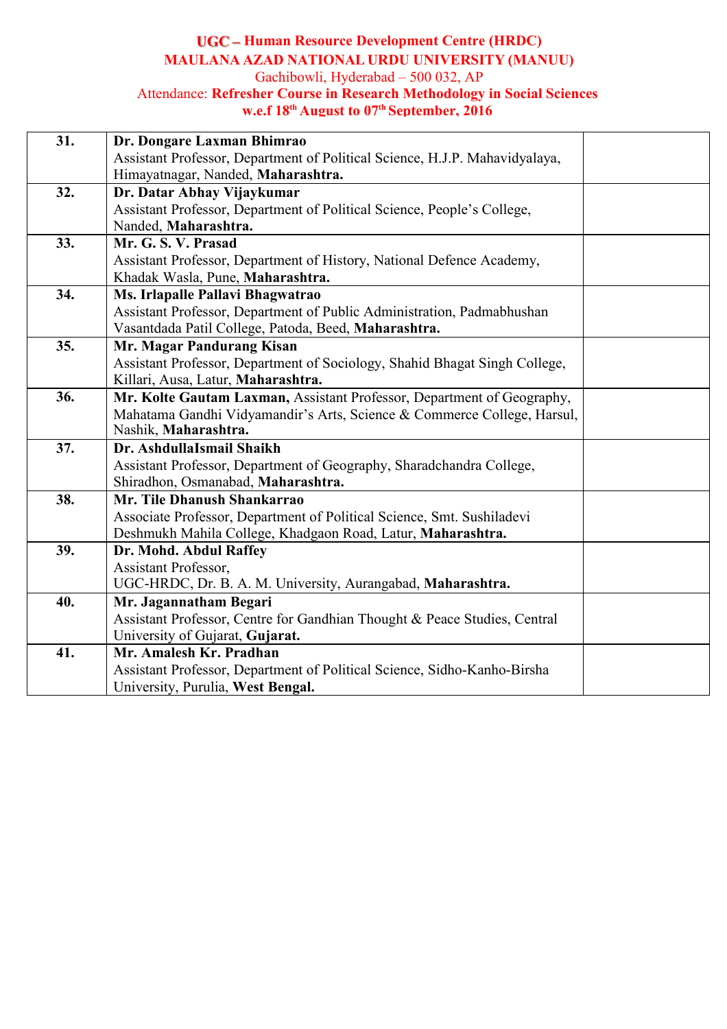### **Human Resource Development Centre (HRDC) MAULANA AZAD NATIONAL URDU UNIVERSITY (MANUU)** Gachibowli, Hyderabad – 500 032, AP Attendance: **Refresher Course in Research Methodology in Social Sciences w.e.f 18 th August to 07 th September, 2016**

| 31. | Dr. Dongare Laxman Bhimrao                                                  |  |
|-----|-----------------------------------------------------------------------------|--|
|     | Assistant Professor, Department of Political Science, H.J.P. Mahavidyalaya, |  |
|     | Himayatnagar, Nanded, Maharashtra.                                          |  |
| 32. | Dr. Datar Abhay Vijaykumar                                                  |  |
|     | Assistant Professor, Department of Political Science, People's College,     |  |
|     | Nanded, Maharashtra.                                                        |  |
| 33. | Mr. G. S. V. Prasad                                                         |  |
|     | Assistant Professor, Department of History, National Defence Academy,       |  |
|     | Khadak Wasla, Pune, Maharashtra.                                            |  |
| 34. | Ms. Irlapalle Pallavi Bhagwatrao                                            |  |
|     | Assistant Professor, Department of Public Administration, Padmabhushan      |  |
|     | Vasantdada Patil College, Patoda, Beed, Maharashtra.                        |  |
| 35. | Mr. Magar Pandurang Kisan                                                   |  |
|     | Assistant Professor, Department of Sociology, Shahid Bhagat Singh College,  |  |
|     | Killari, Ausa, Latur, Maharashtra.                                          |  |
| 36. | Mr. Kolte Gautam Laxman, Assistant Professor, Department of Geography,      |  |
|     | Mahatama Gandhi Vidyamandir's Arts, Science & Commerce College, Harsul,     |  |
|     | Nashik, Maharashtra.                                                        |  |
| 37. | Dr. AshdullaIsmail Shaikh                                                   |  |
|     | Assistant Professor, Department of Geography, Sharadchandra College,        |  |
|     | Shiradhon, Osmanabad, Maharashtra.                                          |  |
| 38. | Mr. Tile Dhanush Shankarrao                                                 |  |
|     | Associate Professor, Department of Political Science, Smt. Sushiladevi      |  |
|     | Deshmukh Mahila College, Khadgaon Road, Latur, Maharashtra.                 |  |
| 39. | Dr. Mohd. Abdul Raffey                                                      |  |
|     | <b>Assistant Professor,</b>                                                 |  |
|     | UGC-HRDC, Dr. B. A. M. University, Aurangabad, Maharashtra.                 |  |
| 40. | Mr. Jagannatham Begari                                                      |  |
|     | Assistant Professor, Centre for Gandhian Thought & Peace Studies, Central   |  |
|     | University of Gujarat, Gujarat.                                             |  |
| 41. | Mr. Amalesh Kr. Pradhan                                                     |  |
|     | Assistant Professor, Department of Political Science, Sidho-Kanho-Birsha    |  |
|     | University, Purulia, West Bengal.                                           |  |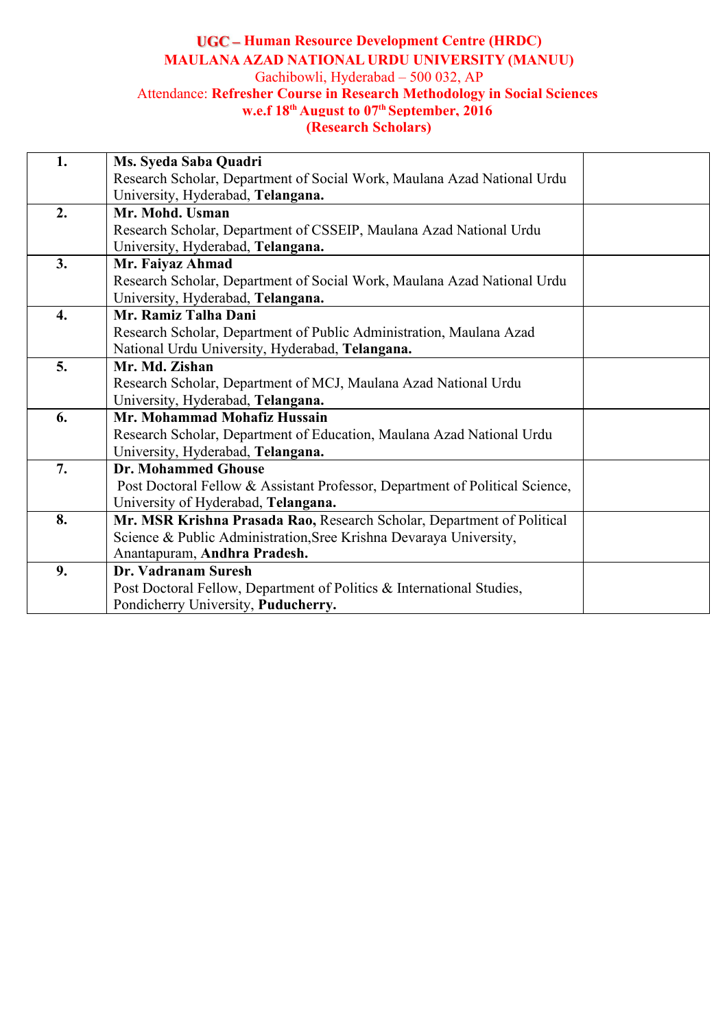### **Human Resource Development Centre (HRDC) MAULANA AZAD NATIONAL URDU UNIVERSITY (MANUU)** Gachibowli, Hyderabad – 500 032, AP Attendance: **Refresher Course in Research Methodology in Social Sciences w.e.f 18 th August to 07 th September, 2016 (Research Scholars)**

| 1.                 | Ms. Syeda Saba Quadri                                                        |  |
|--------------------|------------------------------------------------------------------------------|--|
|                    | Research Scholar, Department of Social Work, Maulana Azad National Urdu      |  |
|                    | University, Hyderabad, Telangana.                                            |  |
| 2.                 | Mr. Mohd. Usman                                                              |  |
|                    | Research Scholar, Department of CSSEIP, Maulana Azad National Urdu           |  |
|                    | University, Hyderabad, Telangana.                                            |  |
| 3.                 | Mr. Faiyaz Ahmad                                                             |  |
|                    | Research Scholar, Department of Social Work, Maulana Azad National Urdu      |  |
|                    | University, Hyderabad, Telangana.                                            |  |
| $\boldsymbol{4}$ . | Mr. Ramiz Talha Dani                                                         |  |
|                    | Research Scholar, Department of Public Administration, Maulana Azad          |  |
|                    | National Urdu University, Hyderabad, Telangana.                              |  |
| 5.                 | Mr. Md. Zishan                                                               |  |
|                    | Research Scholar, Department of MCJ, Maulana Azad National Urdu              |  |
|                    | University, Hyderabad, Telangana.                                            |  |
| 6.                 | Mr. Mohammad Mohafiz Hussain                                                 |  |
|                    | Research Scholar, Department of Education, Maulana Azad National Urdu        |  |
|                    | University, Hyderabad, Telangana.                                            |  |
| 7.                 | <b>Dr. Mohammed Ghouse</b>                                                   |  |
|                    | Post Doctoral Fellow & Assistant Professor, Department of Political Science, |  |
|                    | University of Hyderabad, Telangana.                                          |  |
| 8.                 | Mr. MSR Krishna Prasada Rao, Research Scholar, Department of Political       |  |
|                    | Science & Public Administration, Sree Krishna Devaraya University,           |  |
|                    | Anantapuram, Andhra Pradesh.                                                 |  |
| 9.                 | Dr. Vadranam Suresh                                                          |  |
|                    | Post Doctoral Fellow, Department of Politics & International Studies,        |  |
|                    | Pondicherry University, Puducherry.                                          |  |
|                    |                                                                              |  |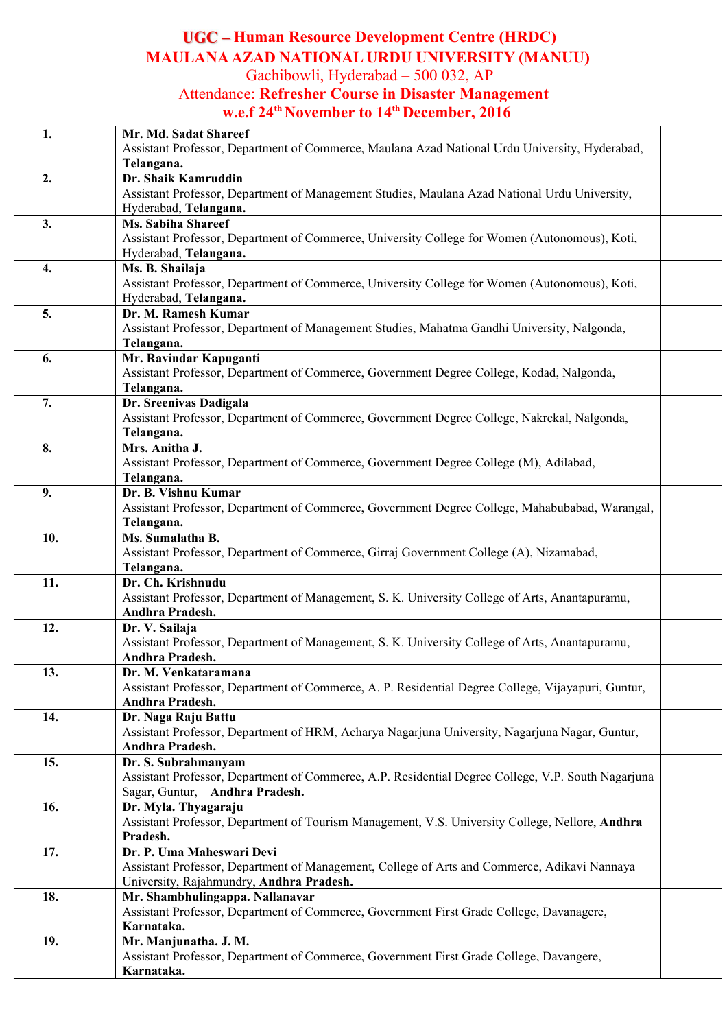# **Human Resource Development Centre (HRDC) MAULANA AZAD NATIONAL URDU UNIVERSITY (MANUU)**

Gachibowli, Hyderabad – 500 032, AP

# Attendance: **Refresher Course in Disaster Management w.e.f 24 thNovember to 14 thDecember, 2016**

| 1.  | Mr. Md. Sadat Shareef<br>Assistant Professor, Department of Commerce, Maulana Azad National Urdu University, Hyderabad, |
|-----|-------------------------------------------------------------------------------------------------------------------------|
|     | Telangana.                                                                                                              |
| 2.  | Dr. Shaik Kamruddin                                                                                                     |
|     | Assistant Professor, Department of Management Studies, Maulana Azad National Urdu University,                           |
|     | Hyderabad, Telangana.                                                                                                   |
| 3.  | Ms. Sabiha Shareef                                                                                                      |
|     | Assistant Professor, Department of Commerce, University College for Women (Autonomous), Koti,                           |
|     | Hyderabad, Telangana.                                                                                                   |
| 4.  | Ms. B. Shailaja                                                                                                         |
|     | Assistant Professor, Department of Commerce, University College for Women (Autonomous), Koti,                           |
|     | Hyderabad, Telangana.                                                                                                   |
| 5.  | Dr. M. Ramesh Kumar                                                                                                     |
|     |                                                                                                                         |
|     | Assistant Professor, Department of Management Studies, Mahatma Gandhi University, Nalgonda,                             |
|     | Telangana.                                                                                                              |
| 6.  | Mr. Ravindar Kapuganti                                                                                                  |
|     | Assistant Professor, Department of Commerce, Government Degree College, Kodad, Nalgonda,                                |
|     | Telangana.                                                                                                              |
| 7.  | Dr. Sreenivas Dadigala                                                                                                  |
|     | Assistant Professor, Department of Commerce, Government Degree College, Nakrekal, Nalgonda,                             |
|     | Telangana.                                                                                                              |
| 8.  | Mrs. Anitha J.                                                                                                          |
|     | Assistant Professor, Department of Commerce, Government Degree College (M), Adilabad,                                   |
|     | Telangana.                                                                                                              |
| 9.  | Dr. B. Vishnu Kumar                                                                                                     |
|     | Assistant Professor, Department of Commerce, Government Degree College, Mahabubabad, Warangal,                          |
|     | Telangana.                                                                                                              |
| 10. | Ms. Sumalatha B.                                                                                                        |
|     | Assistant Professor, Department of Commerce, Girraj Government College (A), Nizamabad,                                  |
|     | Telangana.                                                                                                              |
| 11. | Dr. Ch. Krishnudu                                                                                                       |
|     | Assistant Professor, Department of Management, S. K. University College of Arts, Anantapuramu,                          |
|     | Andhra Pradesh.                                                                                                         |
| 12. | Dr. V. Sailaja                                                                                                          |
|     | Assistant Professor, Department of Management, S. K. University College of Arts, Anantapuramu,                          |
|     |                                                                                                                         |
|     | Andhra Pradesh.                                                                                                         |
| 13. | Dr. M. Venkataramana                                                                                                    |
|     | Assistant Professor, Department of Commerce, A. P. Residential Degree College, Vijayapuri, Guntur,                      |
|     | Andhra Pradesh.                                                                                                         |
| 14. | Dr. Naga Raju Battu                                                                                                     |
|     | Assistant Professor, Department of HRM, Acharya Nagarjuna University, Nagarjuna Nagar, Guntur,                          |
|     | Andhra Pradesh.                                                                                                         |
| 15. | Dr. S. Subrahmanyam                                                                                                     |
|     | Assistant Professor, Department of Commerce, A.P. Residential Degree College, V.P. South Nagarjuna                      |
|     | Sagar, Guntur, Andhra Pradesh.                                                                                          |
| 16. | Dr. Myla. Thyagaraju                                                                                                    |
|     | Assistant Professor, Department of Tourism Management, V.S. University College, Nellore, Andhra                         |
|     | Pradesh.                                                                                                                |
| 17. | Dr. P. Uma Maheswari Devi                                                                                               |
|     | Assistant Professor, Department of Management, College of Arts and Commerce, Adikavi Nannaya                            |
|     | University, Rajahmundry, Andhra Pradesh.                                                                                |
| 18. | Mr. Shambhulingappa. Nallanavar                                                                                         |
|     | Assistant Professor, Department of Commerce, Government First Grade College, Davanagere,                                |
|     | Karnataka.                                                                                                              |
| 19. | Mr. Manjunatha. J. M.                                                                                                   |
|     | Assistant Professor, Department of Commerce, Government First Grade College, Davangere,                                 |
|     | Karnataka.                                                                                                              |
|     |                                                                                                                         |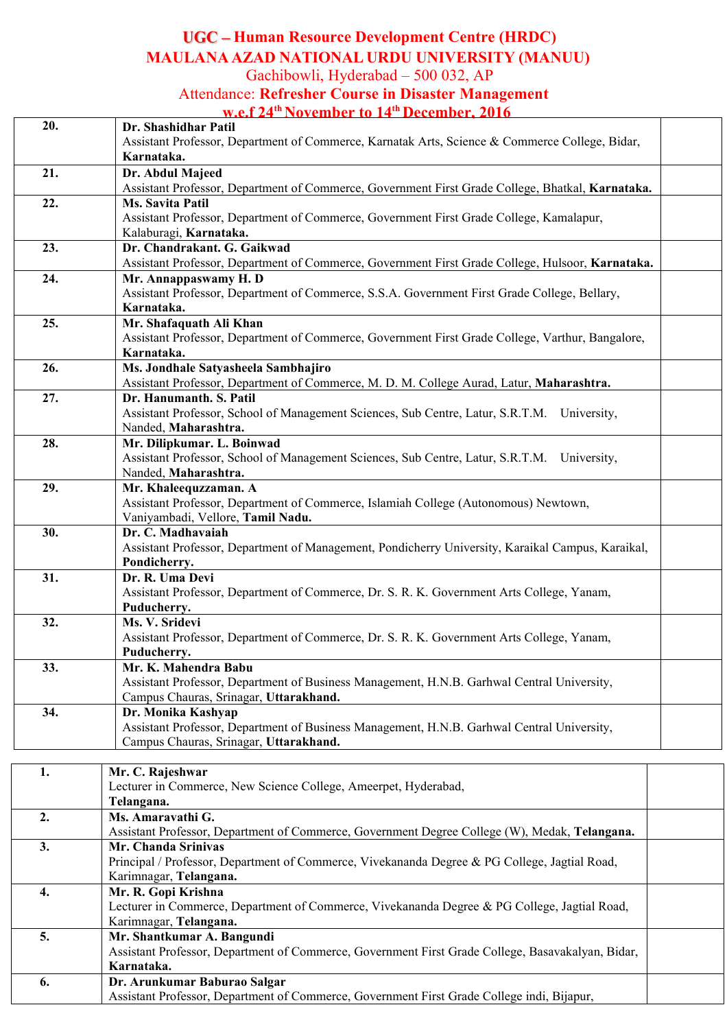# **Human Resource Development Centre (HRDC) MAULANA AZAD NATIONAL URDU UNIVERSITY (MANUU)**

Gachibowli, Hyderabad – 500 032, AP

## Attendance: **Refresher Course in Disaster Management**

**w.e.f 24 thNovember to 14 thDecember, 2016**

| 20. | Dr. Shashidhar Patil<br>Assistant Professor, Department of Commerce, Karnatak Arts, Science & Commerce College, Bidar, |  |
|-----|------------------------------------------------------------------------------------------------------------------------|--|
|     | Karnataka.                                                                                                             |  |
| 21. | Dr. Abdul Majeed<br>Assistant Professor, Department of Commerce, Government First Grade College, Bhatkal, Karnataka.   |  |
| 22. | Ms. Savita Patil                                                                                                       |  |
|     | Assistant Professor, Department of Commerce, Government First Grade College, Kamalapur,<br>Kalaburagi, Karnataka.      |  |
| 23. | Dr. Chandrakant. G. Gaikwad                                                                                            |  |
|     | Assistant Professor, Department of Commerce, Government First Grade College, Hulsoor, Karnataka.                       |  |
| 24. | Mr. Annappaswamy H. D                                                                                                  |  |
|     | Assistant Professor, Department of Commerce, S.S.A. Government First Grade College, Bellary,                           |  |
|     | Karnataka.                                                                                                             |  |
| 25. | Mr. Shafaquath Ali Khan                                                                                                |  |
|     | Assistant Professor, Department of Commerce, Government First Grade College, Varthur, Bangalore,                       |  |
|     | Karnataka.                                                                                                             |  |
| 26. | Ms. Jondhale Satyasheela Sambhajiro                                                                                    |  |
|     | Assistant Professor, Department of Commerce, M. D. M. College Aurad, Latur, Maharashtra.                               |  |
| 27. | Dr. Hanumanth. S. Patil                                                                                                |  |
|     | Assistant Professor, School of Management Sciences, Sub Centre, Latur, S.R.T.M. University,                            |  |
|     | Nanded, Maharashtra.                                                                                                   |  |
| 28. | Mr. Dilipkumar. L. Boinwad                                                                                             |  |
|     | Assistant Professor, School of Management Sciences, Sub Centre, Latur, S.R.T.M. University,                            |  |
|     |                                                                                                                        |  |
|     | Nanded, Maharashtra.                                                                                                   |  |
| 29. | Mr. Khaleequzzaman. A                                                                                                  |  |
|     | Assistant Professor, Department of Commerce, Islamiah College (Autonomous) Newtown,                                    |  |
|     | Vaniyambadi, Vellore, Tamil Nadu.                                                                                      |  |
| 30. | Dr. C. Madhavaiah                                                                                                      |  |
|     | Assistant Professor, Department of Management, Pondicherry University, Karaikal Campus, Karaikal,                      |  |
|     | Pondicherry.                                                                                                           |  |
| 31. | Dr. R. Uma Devi                                                                                                        |  |
|     | Assistant Professor, Department of Commerce, Dr. S. R. K. Government Arts College, Yanam,                              |  |
|     | Puducherry.                                                                                                            |  |
| 32. | Ms. V. Sridevi                                                                                                         |  |
|     | Assistant Professor, Department of Commerce, Dr. S. R. K. Government Arts College, Yanam,                              |  |
|     | Puducherry.                                                                                                            |  |
| 33. | Mr. K. Mahendra Babu                                                                                                   |  |
|     | Assistant Professor, Department of Business Management, H.N.B. Garhwal Central University,                             |  |
|     | Campus Chauras, Srinagar, Uttarakhand.                                                                                 |  |
| 34. | Dr. Monika Kashyap                                                                                                     |  |
|     | Assistant Professor, Department of Business Management, H.N.B. Garhwal Central University,                             |  |
|     | Campus Chauras, Srinagar, Uttarakhand.                                                                                 |  |
|     |                                                                                                                        |  |
| 1.  | Mr. C. Rajeshwar                                                                                                       |  |
|     | Lecturer in Commerce, New Science College, Ameerpet, Hyderabad,                                                        |  |
|     | Telangana.                                                                                                             |  |
| 2.  | Ms. Amaravathi G.                                                                                                      |  |
|     | Assistant Professor, Department of Commerce, Government Degree College (W), Medak, Telangana.                          |  |
| 3.  | Mr. Chanda Srinivas                                                                                                    |  |
|     | Principal / Professor, Department of Commerce, Vivekananda Degree & PG College, Jagtial Road,                          |  |
|     | Karimnagar, Telangana.                                                                                                 |  |
| 4.  | Mr. R. Gopi Krishna                                                                                                    |  |
|     | Lecturer in Commerce, Department of Commerce, Vivekananda Degree & PG College, Jagtial Road,                           |  |
|     | Karimnagar, Telangana.                                                                                                 |  |
| 5.  | Mr. Shantkumar A. Bangundi                                                                                             |  |
|     | Assistant Professor, Department of Commerce, Government First Grade College, Basavakalyan, Bidar,                      |  |
|     | Karnataka.                                                                                                             |  |
| 6.  | Dr. Arunkumar Baburao Salgar                                                                                           |  |
|     | Assistant Professor, Department of Commerce, Government First Grade College indi, Bijapur,                             |  |
|     |                                                                                                                        |  |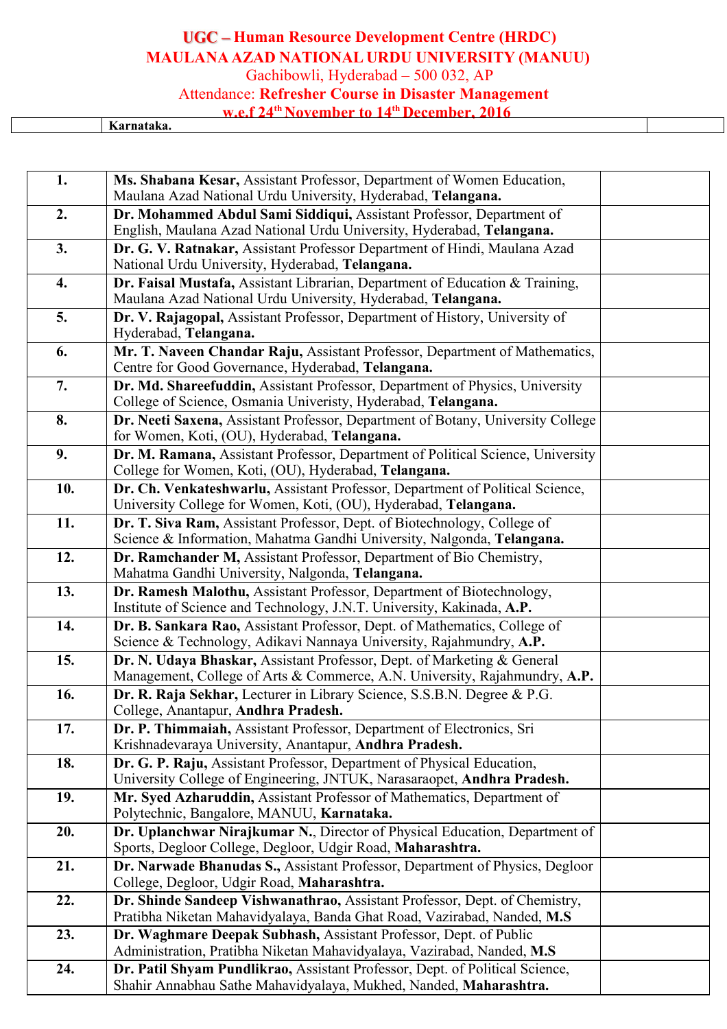# **Human Resource Development Centre (HRDC) MAULANA AZAD NATIONAL URDU UNIVERSITY (MANUU)**

Gachibowli, Hyderabad – 500 032, AP

# Attendance: **Refresher Course in Disaster Management**

**w.e.f 24 thNovember to 14 thDecember, 2016**

**Karnataka.**

| 1.  | Ms. Shabana Kesar, Assistant Professor, Department of Women Education,                                                                                |  |
|-----|-------------------------------------------------------------------------------------------------------------------------------------------------------|--|
|     | Maulana Azad National Urdu University, Hyderabad, Telangana.                                                                                          |  |
| 2.  | Dr. Mohammed Abdul Sami Siddiqui, Assistant Professor, Department of<br>English, Maulana Azad National Urdu University, Hyderabad, Telangana.         |  |
| 3.  | Dr. G. V. Ratnakar, Assistant Professor Department of Hindi, Maulana Azad<br>National Urdu University, Hyderabad, Telangana.                          |  |
| 4.  | Dr. Faisal Mustafa, Assistant Librarian, Department of Education & Training,<br>Maulana Azad National Urdu University, Hyderabad, Telangana.          |  |
| 5.  | Dr. V. Rajagopal, Assistant Professor, Department of History, University of<br>Hyderabad, Telangana.                                                  |  |
| 6.  | Mr. T. Naveen Chandar Raju, Assistant Professor, Department of Mathematics,<br>Centre for Good Governance, Hyderabad, Telangana.                      |  |
| 7.  | Dr. Md. Shareefuddin, Assistant Professor, Department of Physics, University<br>College of Science, Osmania Univeristy, Hyderabad, Telangana.         |  |
| 8.  | Dr. Neeti Saxena, Assistant Professor, Department of Botany, University College<br>for Women, Koti, (OU), Hyderabad, Telangana.                       |  |
| 9.  | Dr. M. Ramana, Assistant Professor, Department of Political Science, University<br>College for Women, Koti, (OU), Hyderabad, Telangana.               |  |
| 10. | Dr. Ch. Venkateshwarlu, Assistant Professor, Department of Political Science,<br>University College for Women, Koti, (OU), Hyderabad, Telangana.      |  |
| 11. | Dr. T. Siva Ram, Assistant Professor, Dept. of Biotechnology, College of<br>Science & Information, Mahatma Gandhi University, Nalgonda, Telangana.    |  |
| 12. | Dr. Ramchander M, Assistant Professor, Department of Bio Chemistry,<br>Mahatma Gandhi University, Nalgonda, Telangana.                                |  |
| 13. | Dr. Ramesh Malothu, Assistant Professor, Department of Biotechnology,<br>Institute of Science and Technology, J.N.T. University, Kakinada, A.P.       |  |
| 14. | Dr. B. Sankara Rao, Assistant Professor, Dept. of Mathematics, College of<br>Science & Technology, Adikavi Nannaya University, Rajahmundry, A.P.      |  |
| 15. | Dr. N. Udaya Bhaskar, Assistant Professor, Dept. of Marketing & General<br>Management, College of Arts & Commerce, A.N. University, Rajahmundry, A.P. |  |
| 16. | Dr. R. Raja Sekhar, Lecturer in Library Science, S.S.B.N. Degree & P.G.<br>College, Anantapur, Andhra Pradesh.                                        |  |
| 17. | Dr. P. Thimmaiah, Assistant Professor, Department of Electronics, Sri<br>Krishnadevaraya University, Anantapur, Andhra Pradesh.                       |  |
| 18. | Dr. G. P. Raju, Assistant Professor, Department of Physical Education,<br>University College of Engineering, JNTUK, Narasaraopet, Andhra Pradesh.     |  |
| 19. | Mr. Syed Azharuddin, Assistant Professor of Mathematics, Department of<br>Polytechnic, Bangalore, MANUU, Karnataka.                                   |  |
| 20. | Dr. Uplanchwar Nirajkumar N., Director of Physical Education, Department of<br>Sports, Degloor College, Degloor, Udgir Road, Maharashtra.             |  |
| 21. | Dr. Narwade Bhanudas S., Assistant Professor, Department of Physics, Degloor<br>College, Degloor, Udgir Road, Maharashtra.                            |  |
| 22. | Dr. Shinde Sandeep Vishwanathrao, Assistant Professor, Dept. of Chemistry,<br>Pratibha Niketan Mahavidyalaya, Banda Ghat Road, Vazirabad, Nanded, M.S |  |
| 23. | Dr. Waghmare Deepak Subhash, Assistant Professor, Dept. of Public<br>Administration, Pratibha Niketan Mahavidyalaya, Vazirabad, Nanded, M.S.          |  |
| 24. | Dr. Patil Shyam Pundlikrao, Assistant Professor, Dept. of Political Science,<br>Shahir Annabhau Sathe Mahavidyalaya, Mukhed, Nanded, Maharashtra.     |  |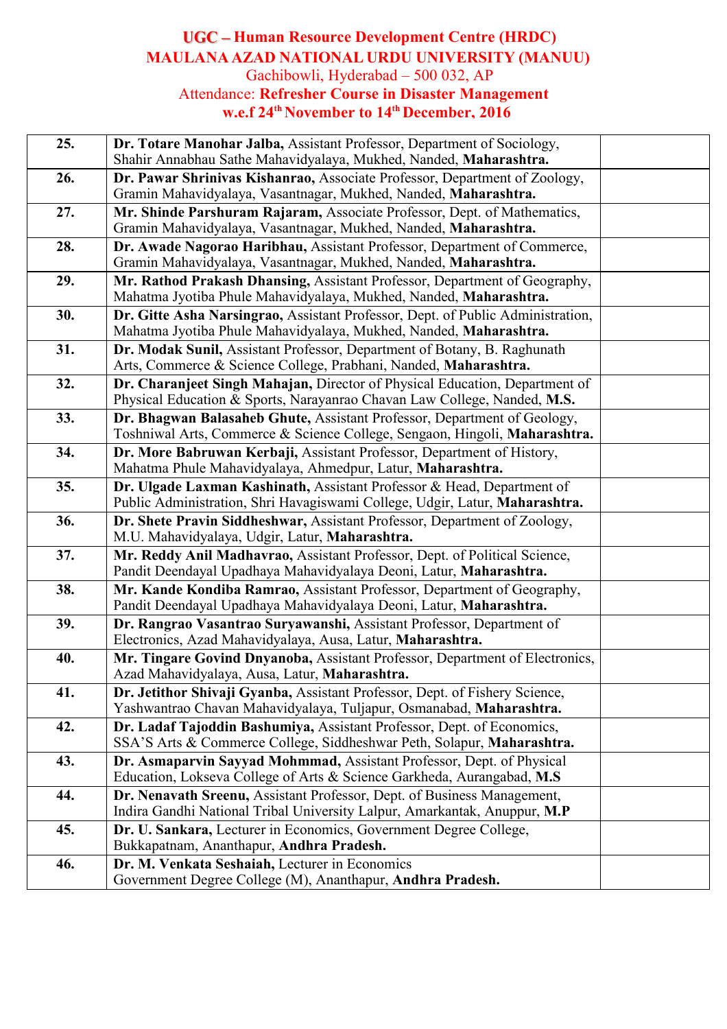## **Human Resource Development Centre (HRDC) MAULANA AZAD NATIONAL URDU UNIVERSITY (MANUU)** Gachibowli, Hyderabad – 500 032, AP Attendance: **Refresher Course in Disaster Management**

**w.e.f 24 thNovember to 14 thDecember, 2016**

| 25. | Dr. Totare Manohar Jalba, Assistant Professor, Department of Sociology,<br>Shahir Annabhau Sathe Mahavidyalaya, Mukhed, Nanded, Maharashtra.            |  |
|-----|---------------------------------------------------------------------------------------------------------------------------------------------------------|--|
| 26. | Dr. Pawar Shrinivas Kishanrao, Associate Professor, Department of Zoology,<br>Gramin Mahavidyalaya, Vasantnagar, Mukhed, Nanded, Maharashtra.           |  |
| 27. | Mr. Shinde Parshuram Rajaram, Associate Professor, Dept. of Mathematics,<br>Gramin Mahavidyalaya, Vasantnagar, Mukhed, Nanded, Maharashtra.             |  |
| 28. | Dr. Awade Nagorao Haribhau, Assistant Professor, Department of Commerce,<br>Gramin Mahavidyalaya, Vasantnagar, Mukhed, Nanded, Maharashtra.             |  |
| 29. | Mr. Rathod Prakash Dhansing, Assistant Professor, Department of Geography,<br>Mahatma Jyotiba Phule Mahavidyalaya, Mukhed, Nanded, Maharashtra.         |  |
| 30. | Dr. Gitte Asha Narsingrao, Assistant Professor, Dept. of Public Administration,<br>Mahatma Jyotiba Phule Mahavidyalaya, Mukhed, Nanded, Maharashtra.    |  |
| 31. | Dr. Modak Sunil, Assistant Professor, Department of Botany, B. Raghunath<br>Arts, Commerce & Science College, Prabhani, Nanded, Maharashtra.            |  |
| 32. | Dr. Charanjeet Singh Mahajan, Director of Physical Education, Department of<br>Physical Education & Sports, Narayanrao Chavan Law College, Nanded, M.S. |  |
| 33. | Dr. Bhagwan Balasaheb Ghute, Assistant Professor, Department of Geology,<br>Toshniwal Arts, Commerce & Science College, Sengaon, Hingoli, Maharashtra.  |  |
| 34. | Dr. More Babruwan Kerbaji, Assistant Professor, Department of History,<br>Mahatma Phule Mahavidyalaya, Ahmedpur, Latur, Maharashtra.                    |  |
| 35. | Dr. Ulgade Laxman Kashinath, Assistant Professor & Head, Department of<br>Public Administration, Shri Havagiswami College, Udgir, Latur, Maharashtra.   |  |
| 36. | Dr. Shete Pravin Siddheshwar, Assistant Professor, Department of Zoology,<br>M.U. Mahavidyalaya, Udgir, Latur, Maharashtra.                             |  |
| 37. | Mr. Reddy Anil Madhavrao, Assistant Professor, Dept. of Political Science,<br>Pandit Deendayal Upadhaya Mahavidyalaya Deoni, Latur, Maharashtra.        |  |
| 38. | Mr. Kande Kondiba Ramrao, Assistant Professor, Department of Geography,<br>Pandit Deendayal Upadhaya Mahavidyalaya Deoni, Latur, Maharashtra.           |  |
| 39. | Dr. Rangrao Vasantrao Suryawanshi, Assistant Professor, Department of<br>Electronics, Azad Mahavidyalaya, Ausa, Latur, Maharashtra.                     |  |
| 40. | Mr. Tingare Govind Dnyanoba, Assistant Professor, Department of Electronics,<br>Azad Mahavidyalaya, Ausa, Latur, Maharashtra.                           |  |
| 41. | Dr. Jetithor Shivaji Gyanba, Assistant Professor, Dept. of Fishery Science,<br>Yashwantrao Chavan Mahavidyalaya, Tuljapur, Osmanabad, Maharashtra.      |  |
| 42. | Dr. Ladaf Tajoddin Bashumiya, Assistant Professor, Dept. of Economics,<br>SSA'S Arts & Commerce College, Siddheshwar Peth, Solapur, Maharashtra.        |  |
| 43. | Dr. Asmaparvin Sayyad Mohmmad, Assistant Professor, Dept. of Physical<br>Education, Lokseva College of Arts & Science Garkheda, Aurangabad, M.S.        |  |
| 44. | Dr. Nenavath Sreenu, Assistant Professor, Dept. of Business Management,<br>Indira Gandhi National Tribal University Lalpur, Amarkantak, Anuppur, M.P    |  |
| 45. | Dr. U. Sankara, Lecturer in Economics, Government Degree College,<br>Bukkapatnam, Ananthapur, Andhra Pradesh.                                           |  |
| 46. | Dr. M. Venkata Seshaiah, Lecturer in Economics<br>Government Degree College (M), Ananthapur, Andhra Pradesh.                                            |  |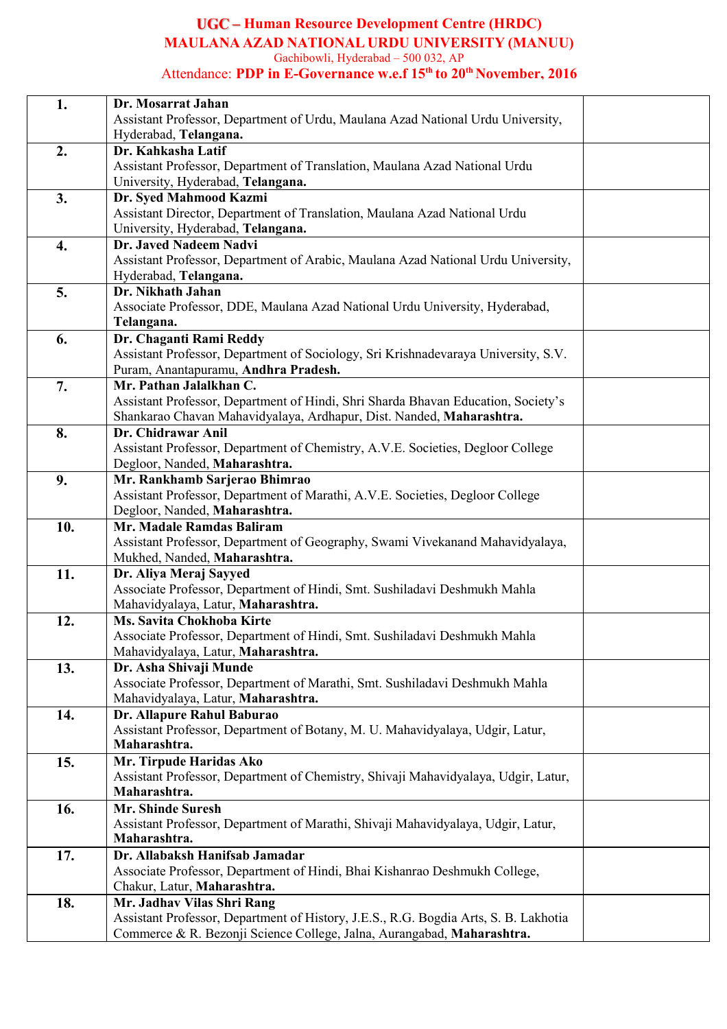**Human Resource Development Centre (HRDC) MAULANA AZAD NATIONAL URDU UNIVERSITY (MANUU)** Gachibowli, Hyderabad – 500 032, AP

#### Attendance: **PDP in E-Governance w.e.f 15 th to 20 th November, 2016**

| 1.  | Dr. Mosarrat Jahan                                                                                                         |  |
|-----|----------------------------------------------------------------------------------------------------------------------------|--|
|     | Assistant Professor, Department of Urdu, Maulana Azad National Urdu University,                                            |  |
|     | Hyderabad, Telangana.                                                                                                      |  |
| 2.  | Dr. Kahkasha Latif                                                                                                         |  |
|     | Assistant Professor, Department of Translation, Maulana Azad National Urdu                                                 |  |
|     | University, Hyderabad, Telangana.                                                                                          |  |
| 3.  | Dr. Syed Mahmood Kazmi                                                                                                     |  |
|     | Assistant Director, Department of Translation, Maulana Azad National Urdu                                                  |  |
|     | University, Hyderabad, Telangana.                                                                                          |  |
| 4.  | Dr. Javed Nadeem Nadvi                                                                                                     |  |
|     | Assistant Professor, Department of Arabic, Maulana Azad National Urdu University,                                          |  |
|     | Hyderabad, Telangana.                                                                                                      |  |
| 5.  | Dr. Nikhath Jahan                                                                                                          |  |
|     | Associate Professor, DDE, Maulana Azad National Urdu University, Hyderabad,                                                |  |
|     | Telangana.                                                                                                                 |  |
| 6.  | Dr. Chaganti Rami Reddy                                                                                                    |  |
|     | Assistant Professor, Department of Sociology, Sri Krishnadevaraya University, S.V.<br>Puram, Anantapuramu, Andhra Pradesh. |  |
| 7.  | Mr. Pathan Jalalkhan C.                                                                                                    |  |
|     | Assistant Professor, Department of Hindi, Shri Sharda Bhavan Education, Society's                                          |  |
|     | Shankarao Chavan Mahavidyalaya, Ardhapur, Dist. Nanded, Maharashtra.                                                       |  |
| 8.  | Dr. Chidrawar Anil                                                                                                         |  |
|     | Assistant Professor, Department of Chemistry, A.V.E. Societies, Degloor College                                            |  |
|     | Degloor, Nanded, Maharashtra.                                                                                              |  |
| 9.  | Mr. Rankhamb Sarjerao Bhimrao                                                                                              |  |
|     | Assistant Professor, Department of Marathi, A.V.E. Societies, Degloor College                                              |  |
|     | Degloor, Nanded, Maharashtra.                                                                                              |  |
| 10. | Mr. Madale Ramdas Baliram                                                                                                  |  |
|     | Assistant Professor, Department of Geography, Swami Vivekanand Mahavidyalaya,                                              |  |
|     | Mukhed, Nanded, Maharashtra.                                                                                               |  |
| 11. | Dr. Aliya Meraj Sayyed                                                                                                     |  |
|     | Associate Professor, Department of Hindi, Smt. Sushiladavi Deshmukh Mahla                                                  |  |
|     | Mahavidyalaya, Latur, Maharashtra.                                                                                         |  |
| 12. | Ms. Savita Chokhoba Kirte                                                                                                  |  |
|     | Associate Professor, Department of Hindi, Smt. Sushiladavi Deshmukh Mahla                                                  |  |
|     | Mahavidyalaya, Latur, Maharashtra.                                                                                         |  |
| 13. | Dr. Asha Shivaji Munde                                                                                                     |  |
|     | Associate Professor, Department of Marathi, Smt. Sushiladavi Deshmukh Mahla                                                |  |
|     | Mahavidyalaya, Latur, Maharashtra.                                                                                         |  |
| 14. | Dr. Allapure Rahul Baburao                                                                                                 |  |
|     | Assistant Professor, Department of Botany, M. U. Mahavidyalaya, Udgir, Latur,<br>Maharashtra.                              |  |
|     |                                                                                                                            |  |
| 15. | Mr. Tirpude Haridas Ako<br>Assistant Professor, Department of Chemistry, Shivaji Mahavidyalaya, Udgir, Latur,              |  |
|     | Maharashtra.                                                                                                               |  |
|     | <b>Mr. Shinde Suresh</b>                                                                                                   |  |
| 16. | Assistant Professor, Department of Marathi, Shivaji Mahavidyalaya, Udgir, Latur,                                           |  |
|     | Maharashtra.                                                                                                               |  |
| 17. | Dr. Allabaksh Hanifsab Jamadar                                                                                             |  |
|     | Associate Professor, Department of Hindi, Bhai Kishanrao Deshmukh College,                                                 |  |
|     | Chakur, Latur, Maharashtra.                                                                                                |  |
| 18. | Mr. Jadhav Vilas Shri Rang                                                                                                 |  |
|     | Assistant Professor, Department of History, J.E.S., R.G. Bogdia Arts, S. B. Lakhotia                                       |  |
|     | Commerce & R. Bezonji Science College, Jalna, Aurangabad, Maharashtra.                                                     |  |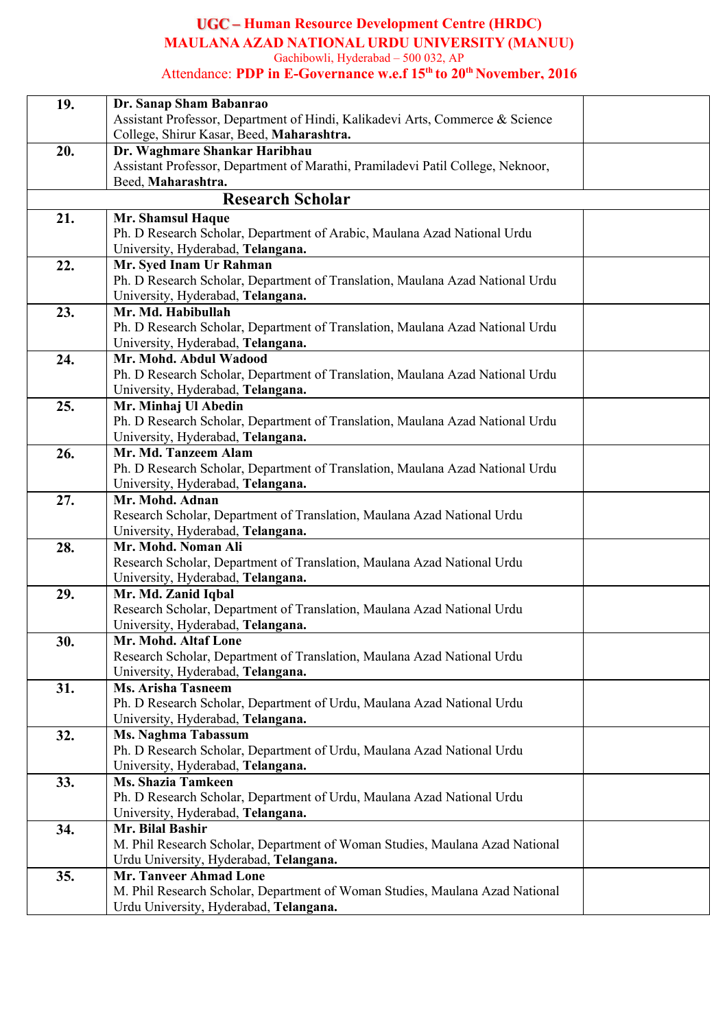#### **Human Resource Development Centre (HRDC) MAULANA AZAD NATIONAL URDU UNIVERSITY (MANUU)** Gachibowli, Hyderabad – 500 032, AP

Attendance: **PDP in E-Governance w.e.f 15 th to 20 th November, 2016**

| 19. | Dr. Sanap Sham Babanrao                                                         |  |
|-----|---------------------------------------------------------------------------------|--|
|     | Assistant Professor, Department of Hindi, Kalikadevi Arts, Commerce & Science   |  |
|     | College, Shirur Kasar, Beed, Maharashtra.                                       |  |
| 20. | Dr. Waghmare Shankar Haribhau                                                   |  |
|     | Assistant Professor, Department of Marathi, Pramiladevi Patil College, Neknoor, |  |
|     | Beed, Maharashtra.                                                              |  |
|     | <b>Research Scholar</b>                                                         |  |
| 21. | Mr. Shamsul Haque                                                               |  |
|     | Ph. D Research Scholar, Department of Arabic, Maulana Azad National Urdu        |  |
|     | University, Hyderabad, Telangana.                                               |  |
| 22. | Mr. Syed Inam Ur Rahman                                                         |  |
|     | Ph. D Research Scholar, Department of Translation, Maulana Azad National Urdu   |  |
|     | University, Hyderabad, Telangana.                                               |  |
| 23. | Mr. Md. Habibullah                                                              |  |
|     | Ph. D Research Scholar, Department of Translation, Maulana Azad National Urdu   |  |
|     | University, Hyderabad, Telangana.                                               |  |
| 24. | Mr. Mohd. Abdul Wadood                                                          |  |
|     | Ph. D Research Scholar, Department of Translation, Maulana Azad National Urdu   |  |
|     | University, Hyderabad, Telangana.                                               |  |
| 25. | Mr. Minhaj Ul Abedin                                                            |  |
|     | Ph. D Research Scholar, Department of Translation, Maulana Azad National Urdu   |  |
|     | University, Hyderabad, Telangana.                                               |  |
| 26. | Mr. Md. Tanzeem Alam                                                            |  |
|     | Ph. D Research Scholar, Department of Translation, Maulana Azad National Urdu   |  |
|     | University, Hyderabad, Telangana.                                               |  |
| 27. | Mr. Mohd. Adnan                                                                 |  |
|     | Research Scholar, Department of Translation, Maulana Azad National Urdu         |  |
|     | University, Hyderabad, Telangana.                                               |  |
| 28. | Mr. Mohd. Noman Ali                                                             |  |
|     | Research Scholar, Department of Translation, Maulana Azad National Urdu         |  |
|     | University, Hyderabad, Telangana.                                               |  |
| 29. | Mr. Md. Zanid Iqbal                                                             |  |
|     | Research Scholar, Department of Translation, Maulana Azad National Urdu         |  |
|     | University, Hyderabad, Telangana.                                               |  |
| 30. | Mr. Mohd. Altaf Lone                                                            |  |
|     | Research Scholar, Department of Translation, Maulana Azad National Urdu         |  |
|     | University, Hyderabad, Telangana.<br><b>Ms. Arisha Tasneem</b>                  |  |
| 31. | Ph. D Research Scholar, Department of Urdu, Maulana Azad National Urdu          |  |
|     | University, Hyderabad, Telangana.                                               |  |
| 32. | Ms. Naghma Tabassum                                                             |  |
|     | Ph. D Research Scholar, Department of Urdu, Maulana Azad National Urdu          |  |
|     | University, Hyderabad, Telangana.                                               |  |
| 33. | <b>Ms. Shazia Tamkeen</b>                                                       |  |
|     | Ph. D Research Scholar, Department of Urdu, Maulana Azad National Urdu          |  |
|     | University, Hyderabad, Telangana.                                               |  |
| 34. | Mr. Bilal Bashir                                                                |  |
|     | M. Phil Research Scholar, Department of Woman Studies, Maulana Azad National    |  |
|     | Urdu University, Hyderabad, Telangana.                                          |  |
| 35. | <b>Mr. Tanveer Ahmad Lone</b>                                                   |  |
|     | M. Phil Research Scholar, Department of Woman Studies, Maulana Azad National    |  |
|     | Urdu University, Hyderabad, Telangana.                                          |  |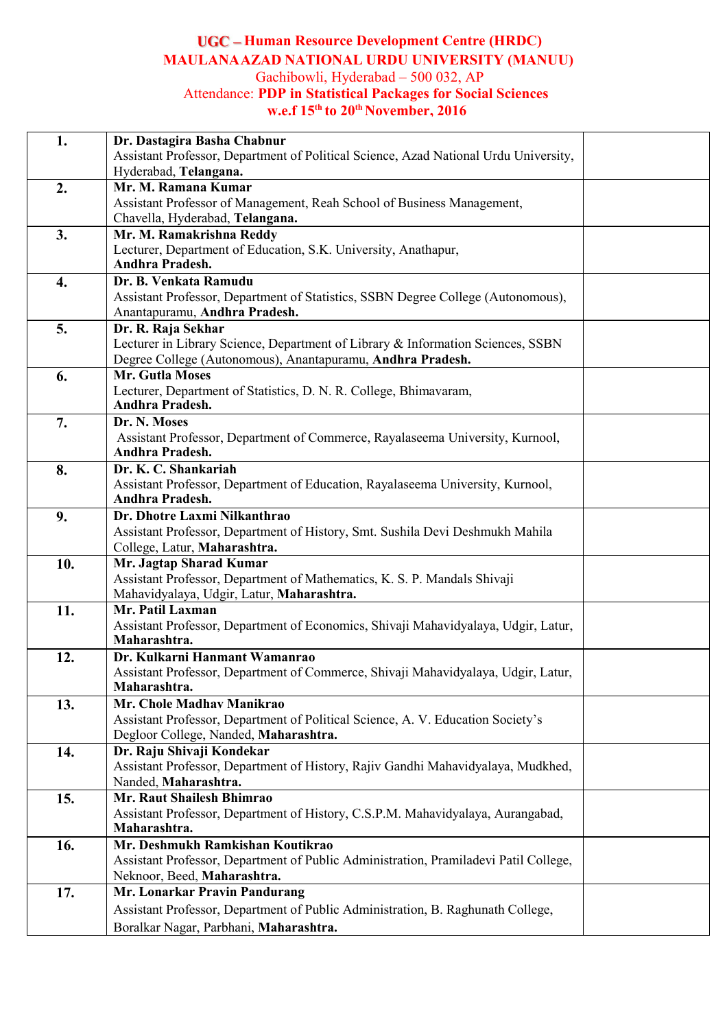# **Human Resource Development Centre (HRDC) MAULANAAZAD NATIONAL URDU UNIVERSITY (MANUU)** Gachibowli, Hyderabad – 500 032, AP

### Attendance: **PDP in Statistical Packages for Social Sciences w.e.f 15 th to 20 th November, 2016**

| 1.  | Dr. Dastagira Basha Chabnur                                                                        |
|-----|----------------------------------------------------------------------------------------------------|
|     | Assistant Professor, Department of Political Science, Azad National Urdu University,               |
|     | Hyderabad, Telangana.                                                                              |
| 2.  | Mr. M. Ramana Kumar                                                                                |
|     | Assistant Professor of Management, Reah School of Business Management,                             |
|     | Chavella, Hyderabad, Telangana.                                                                    |
| 3.  | Mr. M. Ramakrishna Reddy                                                                           |
|     | Lecturer, Department of Education, S.K. University, Anathapur,                                     |
|     | <b>Andhra Pradesh.</b>                                                                             |
| 4.  | Dr. B. Venkata Ramudu                                                                              |
|     | Assistant Professor, Department of Statistics, SSBN Degree College (Autonomous),                   |
|     | Anantapuramu, Andhra Pradesh.                                                                      |
| 5.  | Dr. R. Raja Sekhar                                                                                 |
|     | Lecturer in Library Science, Department of Library & Information Sciences, SSBN                    |
|     | Degree College (Autonomous), Anantapuramu, Andhra Pradesh.                                         |
| 6.  | Mr. Gutla Moses                                                                                    |
|     | Lecturer, Department of Statistics, D. N. R. College, Bhimavaram,                                  |
|     | <b>Andhra Pradesh.</b>                                                                             |
| 7.  | Dr. N. Moses                                                                                       |
|     | Assistant Professor, Department of Commerce, Rayalaseema University, Kurnool,                      |
|     | <b>Andhra Pradesh.</b>                                                                             |
| 8.  | Dr. K. C. Shankariah                                                                               |
|     | Assistant Professor, Department of Education, Rayalaseema University, Kurnool,                     |
|     | Andhra Pradesh.                                                                                    |
| 9.  | Dr. Dhotre Laxmi Nilkanthrao                                                                       |
|     | Assistant Professor, Department of History, Smt. Sushila Devi Deshmukh Mahila                      |
|     | College, Latur, Maharashtra.                                                                       |
| 10. | Mr. Jagtap Sharad Kumar                                                                            |
|     | Assistant Professor, Department of Mathematics, K. S. P. Mandals Shivaji                           |
|     | Mahavidyalaya, Udgir, Latur, Maharashtra.                                                          |
| 11. | Mr. Patil Laxman                                                                                   |
|     | Assistant Professor, Department of Economics, Shivaji Mahavidyalaya, Udgir, Latur,<br>Maharashtra. |
| 12. | Dr. Kulkarni Hanmant Wamanrao                                                                      |
|     | Assistant Professor, Department of Commerce, Shivaji Mahavidyalaya, Udgir, Latur,                  |
|     | Maharashtra.                                                                                       |
| 13. | Mr. Chole Madhav Manikrao                                                                          |
|     | Assistant Professor, Department of Political Science, A. V. Education Society's                    |
|     | Degloor College, Nanded, Maharashtra.                                                              |
| 14. | Dr. Raju Shivaji Kondekar                                                                          |
|     | Assistant Professor, Department of History, Rajiv Gandhi Mahavidyalaya, Mudkhed,                   |
|     | Nanded, Maharashtra.                                                                               |
| 15. | Mr. Raut Shailesh Bhimrao                                                                          |
|     | Assistant Professor, Department of History, C.S.P.M. Mahavidyalaya, Aurangabad,                    |
|     | Maharashtra.                                                                                       |
| 16. | Mr. Deshmukh Ramkishan Koutikrao                                                                   |
|     | Assistant Professor, Department of Public Administration, Pramiladevi Patil College,               |
|     | Neknoor, Beed, Maharashtra.                                                                        |
| 17. | Mr. Lonarkar Pravin Pandurang                                                                      |
|     | Assistant Professor, Department of Public Administration, B. Raghunath College,                    |
|     | Boralkar Nagar, Parbhani, Maharashtra.                                                             |
|     |                                                                                                    |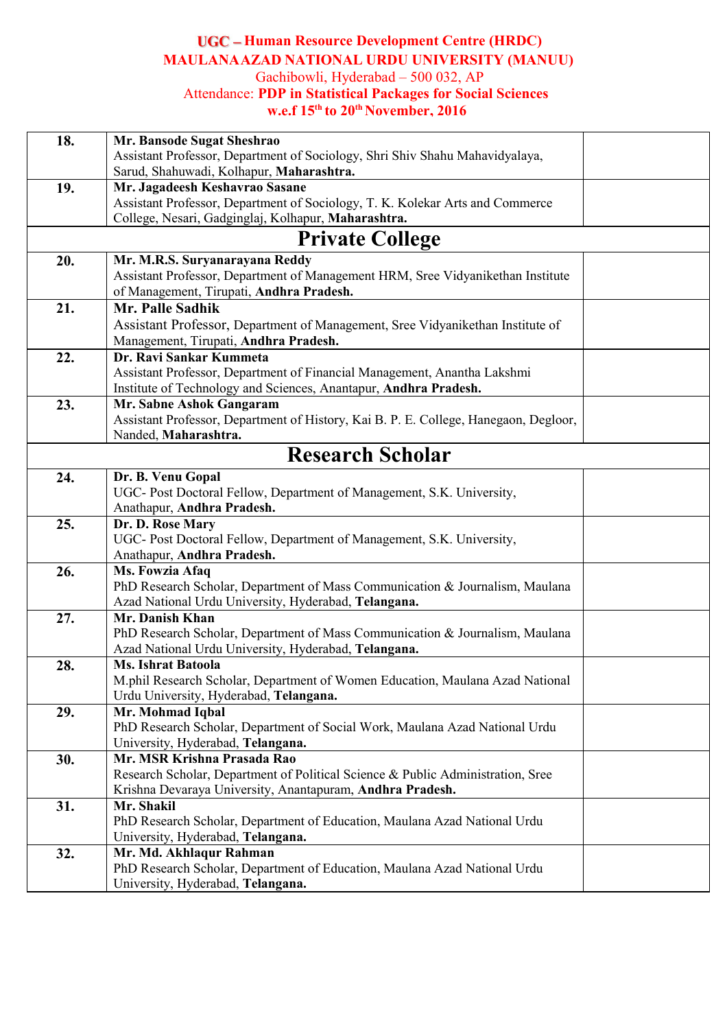### **Human Resource Development Centre (HRDC) MAULANAAZAD NATIONAL URDU UNIVERSITY (MANUU)** Gachibowli, Hyderabad – 500 032, AP

### Attendance: **PDP in Statistical Packages for Social Sciences w.e.f 15 th to 20 th November, 2016**

| 18. | Mr. Bansode Sugat Sheshrao                                                           |  |
|-----|--------------------------------------------------------------------------------------|--|
|     | Assistant Professor, Department of Sociology, Shri Shiv Shahu Mahavidyalaya,         |  |
|     | Sarud, Shahuwadi, Kolhapur, Maharashtra.                                             |  |
| 19. | Mr. Jagadeesh Keshavrao Sasane                                                       |  |
|     | Assistant Professor, Department of Sociology, T. K. Kolekar Arts and Commerce        |  |
|     | College, Nesari, Gadginglaj, Kolhapur, Maharashtra.                                  |  |
|     | <b>Private College</b>                                                               |  |
| 20. | Mr. M.R.S. Suryanarayana Reddy                                                       |  |
|     | Assistant Professor, Department of Management HRM, Sree Vidyanikethan Institute      |  |
|     | of Management, Tirupati, Andhra Pradesh.                                             |  |
| 21. | Mr. Palle Sadhik                                                                     |  |
|     | Assistant Professor, Department of Management, Sree Vidyanikethan Institute of       |  |
|     | Management, Tirupati, Andhra Pradesh.                                                |  |
| 22. | Dr. Ravi Sankar Kummeta                                                              |  |
|     | Assistant Professor, Department of Financial Management, Anantha Lakshmi             |  |
|     | Institute of Technology and Sciences, Anantapur, Andhra Pradesh.                     |  |
| 23. | Mr. Sabne Ashok Gangaram                                                             |  |
|     | Assistant Professor, Department of History, Kai B. P. E. College, Hanegaon, Degloor, |  |
|     | Nanded, Maharashtra.                                                                 |  |
|     |                                                                                      |  |
|     | <b>Research Scholar</b>                                                              |  |
| 24. | Dr. B. Venu Gopal                                                                    |  |
|     | UGC- Post Doctoral Fellow, Department of Management, S.K. University,                |  |
|     | Anathapur, Andhra Pradesh.                                                           |  |
| 25. | Dr. D. Rose Mary                                                                     |  |
|     | UGC- Post Doctoral Fellow, Department of Management, S.K. University,                |  |
|     | Anathapur, Andhra Pradesh.                                                           |  |
| 26. | Ms. Fowzia Afaq                                                                      |  |
|     | PhD Research Scholar, Department of Mass Communication & Journalism, Maulana         |  |
|     | Azad National Urdu University, Hyderabad, Telangana.                                 |  |
| 27. | Mr. Danish Khan                                                                      |  |
|     | PhD Research Scholar, Department of Mass Communication & Journalism, Maulana         |  |
|     | Azad National Urdu University, Hyderabad, Telangana.                                 |  |
| 28. | <b>Ms. Ishrat Batoola</b>                                                            |  |
|     | M.phil Research Scholar, Department of Women Education, Maulana Azad National        |  |
|     | Urdu University, Hyderabad, Telangana.                                               |  |
| 29. | Mr. Mohmad Iqbal                                                                     |  |
|     | PhD Research Scholar, Department of Social Work, Maulana Azad National Urdu          |  |
|     | University, Hyderabad, Telangana.<br>Mr. MSR Krishna Prasada Rao                     |  |
| 30. | Research Scholar, Department of Political Science & Public Administration, Sree      |  |
|     | Krishna Devaraya University, Anantapuram, Andhra Pradesh.                            |  |
| 31. | Mr. Shakil                                                                           |  |
|     | PhD Research Scholar, Department of Education, Maulana Azad National Urdu            |  |
|     | University, Hyderabad, Telangana.                                                    |  |
| 32. | Mr. Md. Akhlaqur Rahman                                                              |  |
|     | PhD Research Scholar, Department of Education, Maulana Azad National Urdu            |  |
|     | University, Hyderabad, Telangana.                                                    |  |
|     |                                                                                      |  |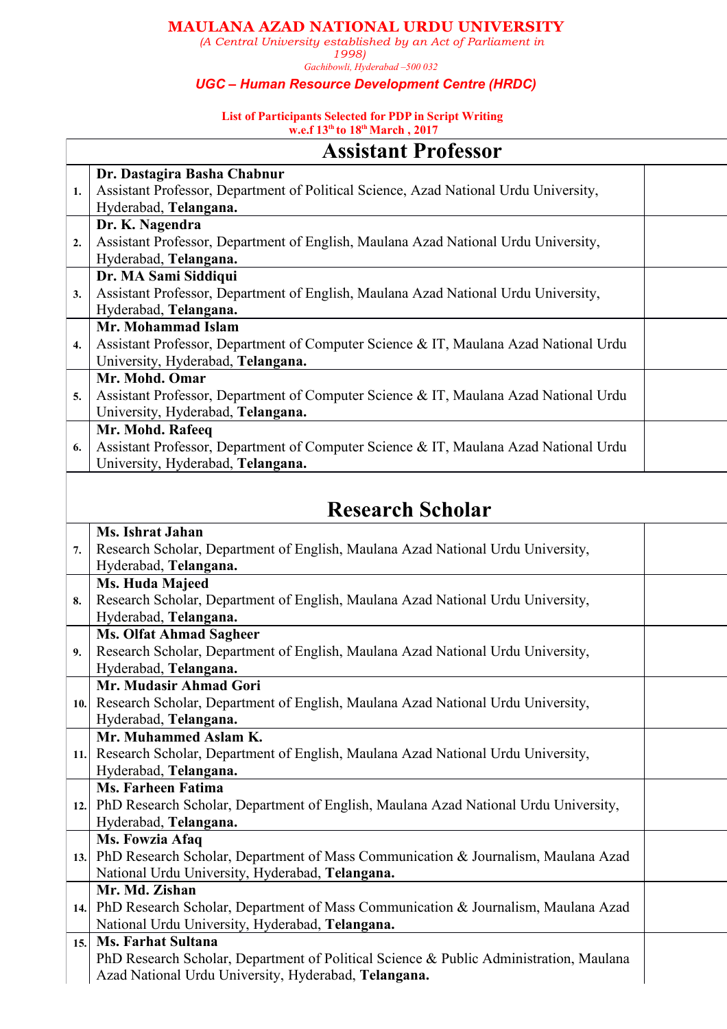#### **MAULANA AZAD NATIONAL URDU UNIVERSITY**

*(A Central University established by an Act of Parliament in*

*1998) Gachibowli, Hyderabad –500 032*

#### *UGC – Human Resource Development Centre (HRDC)*

#### **List of Participants Selected for PDP** in Script Writing **w.e.f 13 th to 18 thMarch , 2017**

|                  | <b>Assistant Professor</b>                                                           |  |  |
|------------------|--------------------------------------------------------------------------------------|--|--|
|                  | Dr. Dastagira Basha Chabnur                                                          |  |  |
| 1.               | Assistant Professor, Department of Political Science, Azad National Urdu University, |  |  |
|                  | Hyderabad, Telangana.                                                                |  |  |
|                  | Dr. K. Nagendra                                                                      |  |  |
| 2.               | Assistant Professor, Department of English, Maulana Azad National Urdu University,   |  |  |
|                  | Hyderabad, Telangana.                                                                |  |  |
|                  | Dr. MA Sami Siddiqui                                                                 |  |  |
| 3.               | Assistant Professor, Department of English, Maulana Azad National Urdu University,   |  |  |
|                  | Hyderabad, Telangana.                                                                |  |  |
|                  | Mr. Mohammad Islam                                                                   |  |  |
| $\overline{4}$ . | Assistant Professor, Department of Computer Science & IT, Maulana Azad National Urdu |  |  |
|                  | University, Hyderabad, Telangana.                                                    |  |  |
|                  | Mr. Mohd. Omar                                                                       |  |  |
| 5.               | Assistant Professor, Department of Computer Science & IT, Maulana Azad National Urdu |  |  |
|                  | University, Hyderabad, Telangana.                                                    |  |  |
|                  | Mr. Mohd. Rafeeq                                                                     |  |  |
| 6.               | Assistant Professor, Department of Computer Science & IT, Maulana Azad National Urdu |  |  |
|                  | University, Hyderabad, Telangana.                                                    |  |  |
|                  |                                                                                      |  |  |

# **Research Scholar**

|      | <b>Ms. Ishrat Jahan</b>                                                                |
|------|----------------------------------------------------------------------------------------|
| 7.   | Research Scholar, Department of English, Maulana Azad National Urdu University,        |
|      | Hyderabad, Telangana.                                                                  |
|      | Ms. Huda Majeed                                                                        |
| 8.   | Research Scholar, Department of English, Maulana Azad National Urdu University,        |
|      | Hyderabad, Telangana.                                                                  |
|      | <b>Ms. Olfat Ahmad Sagheer</b>                                                         |
| 9.   | Research Scholar, Department of English, Maulana Azad National Urdu University,        |
|      | Hyderabad, Telangana.                                                                  |
|      | Mr. Mudasir Ahmad Gori                                                                 |
|      | 10. Research Scholar, Department of English, Maulana Azad National Urdu University,    |
|      | Hyderabad, Telangana.                                                                  |
|      | Mr. Muhammed Aslam K.                                                                  |
| 11.1 | Research Scholar, Department of English, Maulana Azad National Urdu University,        |
|      | Hyderabad, Telangana.                                                                  |
|      | <b>Ms. Farheen Fatima</b>                                                              |
| 12.  | PhD Research Scholar, Department of English, Maulana Azad National Urdu University,    |
|      | Hyderabad, Telangana.                                                                  |
|      | Ms. Fowzia Afaq                                                                        |
|      | 13. PhD Research Scholar, Department of Mass Communication & Journalism, Maulana Azad  |
|      | National Urdu University, Hyderabad, Telangana.                                        |
|      | Mr. Md. Zishan                                                                         |
|      | 14. PhD Research Scholar, Department of Mass Communication & Journalism, Maulana Azad  |
|      | National Urdu University, Hyderabad, Telangana.                                        |
| 15.  | <b>Ms. Farhat Sultana</b>                                                              |
|      | PhD Research Scholar, Department of Political Science & Public Administration, Maulana |
|      | Azad National Urdu University, Hyderabad, Telangana.                                   |
|      |                                                                                        |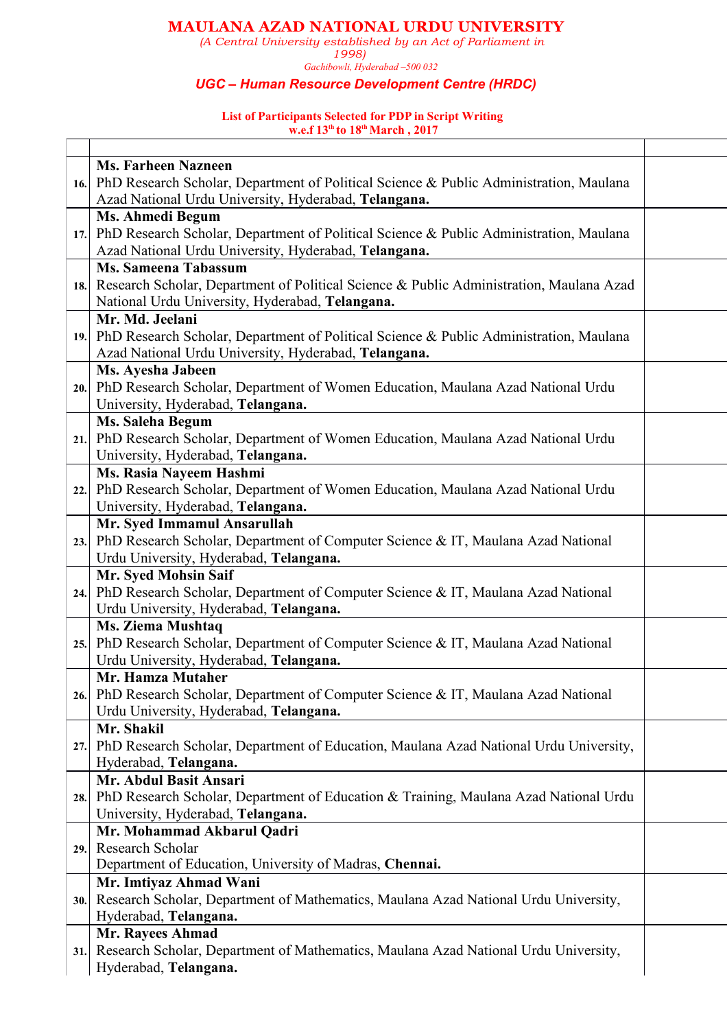### **MAULANA AZAD NATIONAL URDU UNIVERSITY**

*(A Central University established by an Act of Parliament in*

*1998) Gachibowli, Hyderabad –500 032*

#### *UGC – Human Resource Development Centre (HRDC)*

#### **List of Participants Selected for PDP in Script Writing w.e.f 13 th to 18 thMarch , 2017**

|  |      | <b>Ms. Farheen Nazneen</b>                                                                  |  |
|--|------|---------------------------------------------------------------------------------------------|--|
|  |      | 16. PhD Research Scholar, Department of Political Science & Public Administration, Maulana  |  |
|  |      | Azad National Urdu University, Hyderabad, Telangana.                                        |  |
|  |      | <b>Ms. Ahmedi Begum</b>                                                                     |  |
|  |      | 17. PhD Research Scholar, Department of Political Science & Public Administration, Maulana  |  |
|  |      | Azad National Urdu University, Hyderabad, Telangana.                                        |  |
|  |      | <b>Ms. Sameena Tabassum</b>                                                                 |  |
|  |      | 18. Research Scholar, Department of Political Science & Public Administration, Maulana Azad |  |
|  |      | National Urdu University, Hyderabad, Telangana.                                             |  |
|  |      | Mr. Md. Jeelani                                                                             |  |
|  |      | 19. PhD Research Scholar, Department of Political Science & Public Administration, Maulana  |  |
|  |      | Azad National Urdu University, Hyderabad, Telangana.                                        |  |
|  |      | Ms. Ayesha Jabeen                                                                           |  |
|  |      | 20. PhD Research Scholar, Department of Women Education, Maulana Azad National Urdu         |  |
|  |      | University, Hyderabad, Telangana.                                                           |  |
|  |      | Ms. Saleha Begum                                                                            |  |
|  |      | 21. PhD Research Scholar, Department of Women Education, Maulana Azad National Urdu         |  |
|  |      | University, Hyderabad, Telangana.                                                           |  |
|  |      | Ms. Rasia Nayeem Hashmi                                                                     |  |
|  | 22.  | PhD Research Scholar, Department of Women Education, Maulana Azad National Urdu             |  |
|  |      | University, Hyderabad, Telangana.                                                           |  |
|  |      | Mr. Syed Immamul Ansarullah                                                                 |  |
|  | 23.  | PhD Research Scholar, Department of Computer Science & IT, Maulana Azad National            |  |
|  |      | Urdu University, Hyderabad, Telangana.                                                      |  |
|  |      | Mr. Syed Mohsin Saif                                                                        |  |
|  |      | 24. PhD Research Scholar, Department of Computer Science & IT, Maulana Azad National        |  |
|  |      | Urdu University, Hyderabad, Telangana.                                                      |  |
|  |      | <b>Ms. Ziema Mushtaq</b>                                                                    |  |
|  | 25.  | PhD Research Scholar, Department of Computer Science & IT, Maulana Azad National            |  |
|  |      | Urdu University, Hyderabad, Telangana.                                                      |  |
|  |      | Mr. Hamza Mutaher                                                                           |  |
|  |      | 26. PhD Research Scholar, Department of Computer Science & IT, Maulana Azad National        |  |
|  |      | Urdu University, Hyderabad, Telangana.                                                      |  |
|  |      | Mr. Shakil                                                                                  |  |
|  | 27.  | PhD Research Scholar, Department of Education, Maulana Azad National Urdu University,       |  |
|  |      | Hyderabad, Telangana.                                                                       |  |
|  |      | Mr. Abdul Basit Ansari                                                                      |  |
|  |      | 28. PhD Research Scholar, Department of Education & Training, Maulana Azad National Urdu    |  |
|  |      | University, Hyderabad, Telangana.                                                           |  |
|  |      | Mr. Mohammad Akbarul Qadri                                                                  |  |
|  | 29.1 | Research Scholar                                                                            |  |
|  |      | Department of Education, University of Madras, Chennai.                                     |  |
|  |      | Mr. Imtiyaz Ahmad Wani                                                                      |  |
|  | 30.  | Research Scholar, Department of Mathematics, Maulana Azad National Urdu University,         |  |
|  |      | Hyderabad, Telangana.                                                                       |  |
|  |      | Mr. Rayees Ahmad                                                                            |  |
|  | 31.  | Research Scholar, Department of Mathematics, Maulana Azad National Urdu University,         |  |
|  |      | Hyderabad, Telangana.                                                                       |  |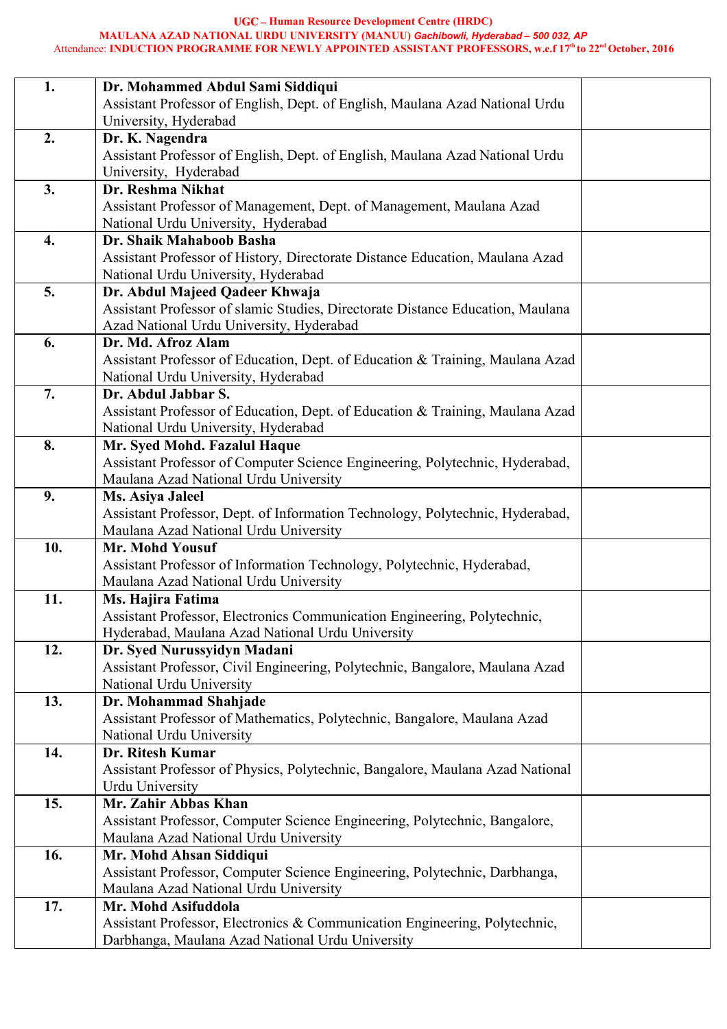#### **Human Resource Development Centre (HRDC) MAULANA AZAD NATIONAL URDU UNIVERSITY (MANUU)** *Gachibowli, Hyderabad – 500 032, AP* Attendance: **INDUCTION PROGRAMME FOR NEWLY APPOINTED ASSISTANT PROFESSORS, w.e.f 17 th to 22 ndOctober, 2016**

| 1.  | Dr. Mohammed Abdul Sami Siddiqui                                                                      |  |
|-----|-------------------------------------------------------------------------------------------------------|--|
|     | Assistant Professor of English, Dept. of English, Maulana Azad National Urdu<br>University, Hyderabad |  |
| 2.  | Dr. K. Nagendra                                                                                       |  |
|     | Assistant Professor of English, Dept. of English, Maulana Azad National Urdu                          |  |
|     | University, Hyderabad                                                                                 |  |
| 3.  | Dr. Reshma Nikhat                                                                                     |  |
|     | Assistant Professor of Management, Dept. of Management, Maulana Azad                                  |  |
|     | National Urdu University, Hyderabad                                                                   |  |
| 4.  | Dr. Shaik Mahaboob Basha                                                                              |  |
|     | Assistant Professor of History, Directorate Distance Education, Maulana Azad                          |  |
|     | National Urdu University, Hyderabad                                                                   |  |
| 5.  | Dr. Abdul Majeed Qadeer Khwaja                                                                        |  |
|     | Assistant Professor of slamic Studies, Directorate Distance Education, Maulana                        |  |
|     | Azad National Urdu University, Hyderabad                                                              |  |
| 6.  | Dr. Md. Afroz Alam                                                                                    |  |
|     | Assistant Professor of Education, Dept. of Education & Training, Maulana Azad                         |  |
|     | National Urdu University, Hyderabad                                                                   |  |
| 7.  | Dr. Abdul Jabbar S.                                                                                   |  |
|     | Assistant Professor of Education, Dept. of Education & Training, Maulana Azad                         |  |
|     | National Urdu University, Hyderabad                                                                   |  |
| 8.  | Mr. Syed Mohd. Fazalul Haque                                                                          |  |
|     | Assistant Professor of Computer Science Engineering, Polytechnic, Hyderabad,                          |  |
|     | Maulana Azad National Urdu University                                                                 |  |
| 9.  | Ms. Asiya Jaleel                                                                                      |  |
|     | Assistant Professor, Dept. of Information Technology, Polytechnic, Hyderabad,                         |  |
|     | Maulana Azad National Urdu University                                                                 |  |
| 10. | Mr. Mohd Yousuf                                                                                       |  |
|     | Assistant Professor of Information Technology, Polytechnic, Hyderabad,                                |  |
|     | Maulana Azad National Urdu University                                                                 |  |
| 11. | Ms. Hajira Fatima                                                                                     |  |
|     | Assistant Professor, Electronics Communication Engineering, Polytechnic,                              |  |
|     | Hyderabad, Maulana Azad National Urdu University                                                      |  |
| 12. | Dr. Syed Nurussyidyn Madani                                                                           |  |
|     | Assistant Professor, Civil Engineering, Polytechnic, Bangalore, Maulana Azad                          |  |
| 13. | National Urdu University                                                                              |  |
|     | Dr. Mohammad Shahjade<br>Assistant Professor of Mathematics, Polytechnic, Bangalore, Maulana Azad     |  |
|     | National Urdu University                                                                              |  |
| 14. | Dr. Ritesh Kumar                                                                                      |  |
|     | Assistant Professor of Physics, Polytechnic, Bangalore, Maulana Azad National                         |  |
|     | Urdu University                                                                                       |  |
| 15. | Mr. Zahir Abbas Khan                                                                                  |  |
|     | Assistant Professor, Computer Science Engineering, Polytechnic, Bangalore,                            |  |
|     | Maulana Azad National Urdu University                                                                 |  |
| 16. | Mr. Mohd Ahsan Siddiqui                                                                               |  |
|     | Assistant Professor, Computer Science Engineering, Polytechnic, Darbhanga,                            |  |
|     | Maulana Azad National Urdu University                                                                 |  |
| 17. | Mr. Mohd Asifuddola                                                                                   |  |
|     | Assistant Professor, Electronics & Communication Engineering, Polytechnic,                            |  |
|     | Darbhanga, Maulana Azad National Urdu University                                                      |  |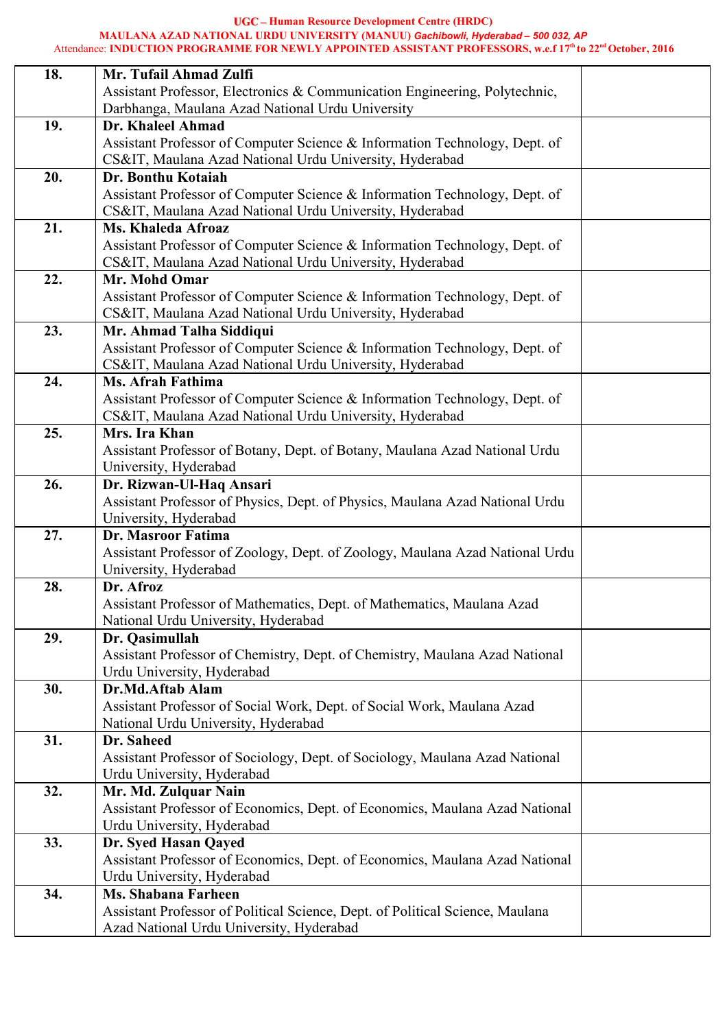**Human Resource Development Centre (HRDC)**

#### **MAULANA AZAD NATIONAL URDU UNIVERSITY (MANUU)** *Gachibowli, Hyderabad – 500 032, AP*

#### Attendance: **INDUCTION PROGRAMME FOR NEWLY APPOINTED ASSISTANT PROFESSORS, w.e.f 17 th to 22 ndOctober, 2016**

| 18. | Mr. Tufail Ahmad Zulfi                                                                                |  |
|-----|-------------------------------------------------------------------------------------------------------|--|
|     | Assistant Professor, Electronics & Communication Engineering, Polytechnic,                            |  |
|     | Darbhanga, Maulana Azad National Urdu University                                                      |  |
| 19. | Dr. Khaleel Ahmad                                                                                     |  |
|     | Assistant Professor of Computer Science & Information Technology, Dept. of                            |  |
|     | CS&IT, Maulana Azad National Urdu University, Hyderabad                                               |  |
| 20. | Dr. Bonthu Kotaiah                                                                                    |  |
|     | Assistant Professor of Computer Science & Information Technology, Dept. of                            |  |
|     | CS&IT, Maulana Azad National Urdu University, Hyderabad                                               |  |
| 21. | <b>Ms. Khaleda Afroaz</b>                                                                             |  |
|     | Assistant Professor of Computer Science & Information Technology, Dept. of                            |  |
|     | CS&IT, Maulana Azad National Urdu University, Hyderabad                                               |  |
| 22. | Mr. Mohd Omar                                                                                         |  |
|     | Assistant Professor of Computer Science & Information Technology, Dept. of                            |  |
|     | CS&IT, Maulana Azad National Urdu University, Hyderabad                                               |  |
| 23. | Mr. Ahmad Talha Siddiqui                                                                              |  |
|     | Assistant Professor of Computer Science & Information Technology, Dept. of                            |  |
|     | CS&IT, Maulana Azad National Urdu University, Hyderabad                                               |  |
| 24. | Ms. Afrah Fathima                                                                                     |  |
|     | Assistant Professor of Computer Science & Information Technology, Dept. of                            |  |
|     | CS&IT, Maulana Azad National Urdu University, Hyderabad                                               |  |
| 25. | Mrs. Ira Khan                                                                                         |  |
|     | Assistant Professor of Botany, Dept. of Botany, Maulana Azad National Urdu                            |  |
|     | University, Hyderabad                                                                                 |  |
| 26. | Dr. Rizwan-Ul-Haq Ansari                                                                              |  |
|     | Assistant Professor of Physics, Dept. of Physics, Maulana Azad National Urdu<br>University, Hyderabad |  |
| 27. | Dr. Masroor Fatima                                                                                    |  |
|     | Assistant Professor of Zoology, Dept. of Zoology, Maulana Azad National Urdu                          |  |
|     | University, Hyderabad                                                                                 |  |
| 28. | Dr. Afroz                                                                                             |  |
|     | Assistant Professor of Mathematics, Dept. of Mathematics, Maulana Azad                                |  |
|     | National Urdu University, Hyderabad                                                                   |  |
| 29. | Dr. Qasimullah                                                                                        |  |
|     | Assistant Professor of Chemistry, Dept. of Chemistry, Maulana Azad National                           |  |
|     | Urdu University, Hyderabad                                                                            |  |
| 30. | Dr.Md.Aftab Alam                                                                                      |  |
|     | Assistant Professor of Social Work, Dept. of Social Work, Maulana Azad                                |  |
|     | National Urdu University, Hyderabad                                                                   |  |
| 31. | Dr. Saheed                                                                                            |  |
|     | Assistant Professor of Sociology, Dept. of Sociology, Maulana Azad National                           |  |
|     | Urdu University, Hyderabad                                                                            |  |
| 32. | Mr. Md. Zulquar Nain                                                                                  |  |
|     | Assistant Professor of Economics, Dept. of Economics, Maulana Azad National                           |  |
|     | Urdu University, Hyderabad                                                                            |  |
| 33. | Dr. Syed Hasan Qayed                                                                                  |  |
|     | Assistant Professor of Economics, Dept. of Economics, Maulana Azad National                           |  |
|     | Urdu University, Hyderabad                                                                            |  |
| 34. | <b>Ms. Shabana Farheen</b>                                                                            |  |
|     | Assistant Professor of Political Science, Dept. of Political Science, Maulana                         |  |
|     | Azad National Urdu University, Hyderabad                                                              |  |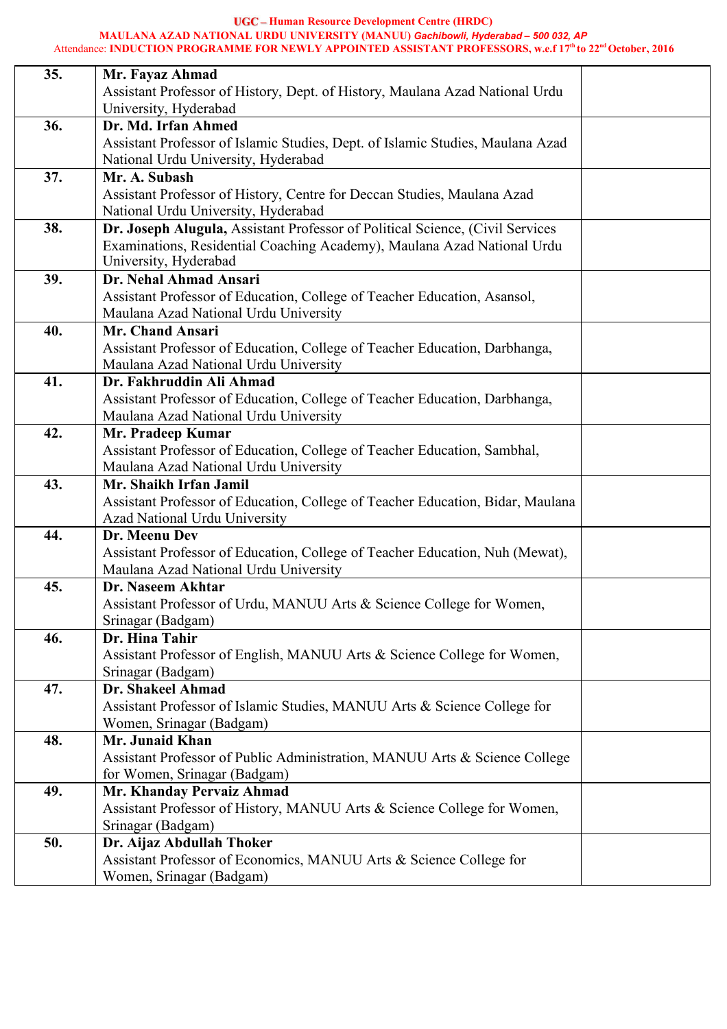**Human Resource Development Centre (HRDC)**

#### **MAULANA AZAD NATIONAL URDU UNIVERSITY (MANUU)** *Gachibowli, Hyderabad – 500 032, AP*

#### Attendance: **INDUCTION PROGRAMME FOR NEWLY APPOINTED ASSISTANT PROFESSORS, w.e.f 17 th to 22 ndOctober, 2016**

| 35. | Mr. Fayaz Ahmad                                                                |
|-----|--------------------------------------------------------------------------------|
|     | Assistant Professor of History, Dept. of History, Maulana Azad National Urdu   |
|     | University, Hyderabad                                                          |
| 36. | Dr. Md. Irfan Ahmed                                                            |
|     | Assistant Professor of Islamic Studies, Dept. of Islamic Studies, Maulana Azad |
|     | National Urdu University, Hyderabad                                            |
| 37. | Mr. A. Subash                                                                  |
|     | Assistant Professor of History, Centre for Deccan Studies, Maulana Azad        |
|     | National Urdu University, Hyderabad                                            |
| 38. | Dr. Joseph Alugula, Assistant Professor of Political Science, (Civil Services  |
|     | Examinations, Residential Coaching Academy), Maulana Azad National Urdu        |
|     | University, Hyderabad                                                          |
| 39. | Dr. Nehal Ahmad Ansari                                                         |
|     | Assistant Professor of Education, College of Teacher Education, Asansol,       |
|     | Maulana Azad National Urdu University                                          |
| 40. | <b>Mr. Chand Ansari</b>                                                        |
|     | Assistant Professor of Education, College of Teacher Education, Darbhanga,     |
|     | Maulana Azad National Urdu University                                          |
| 41. | Dr. Fakhruddin Ali Ahmad                                                       |
|     | Assistant Professor of Education, College of Teacher Education, Darbhanga,     |
|     | Maulana Azad National Urdu University                                          |
| 42. | Mr. Pradeep Kumar                                                              |
|     | Assistant Professor of Education, College of Teacher Education, Sambhal,       |
|     | Maulana Azad National Urdu University                                          |
| 43. | Mr. Shaikh Irfan Jamil                                                         |
|     | Assistant Professor of Education, College of Teacher Education, Bidar, Maulana |
|     | Azad National Urdu University                                                  |
| 44. | Dr. Meenu Dev                                                                  |
|     | Assistant Professor of Education, College of Teacher Education, Nuh (Mewat),   |
|     | Maulana Azad National Urdu University                                          |
| 45. | Dr. Naseem Akhtar                                                              |
|     | Assistant Professor of Urdu, MANUU Arts & Science College for Women,           |
|     | Srinagar (Badgam)                                                              |
| 46. | Dr. Hina Tahir                                                                 |
|     | Assistant Professor of English, MANUU Arts & Science College for Women,        |
|     | Srinagar (Badgam)                                                              |
| 47. | Dr. Shakeel Ahmad                                                              |
|     | Assistant Professor of Islamic Studies, MANUU Arts & Science College for       |
|     | Women, Srinagar (Badgam)                                                       |
| 48. | Mr. Junaid Khan                                                                |
|     | Assistant Professor of Public Administration, MANUU Arts & Science College     |
|     | for Women, Srinagar (Badgam)                                                   |
| 49. | Mr. Khanday Pervaiz Ahmad                                                      |
|     | Assistant Professor of History, MANUU Arts & Science College for Women,        |
|     | Srinagar (Badgam)                                                              |
| 50. | Dr. Aijaz Abdullah Thoker                                                      |
|     | Assistant Professor of Economics, MANUU Arts & Science College for             |
|     | Women, Srinagar (Badgam)                                                       |
|     |                                                                                |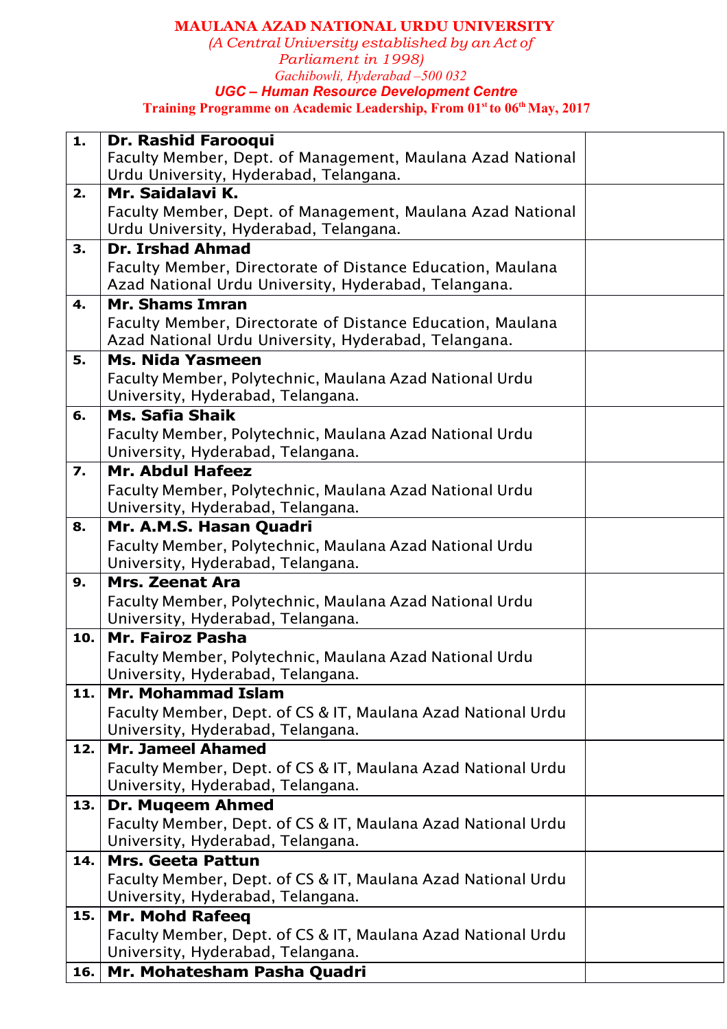### **MAULANA AZAD NATIONAL URDU UNIVERSITY**

*(A Central University established by an Act of Parliament in 1998) Gachibowli, Hyderabad –500 032 UGC – Human Resource Development Centre* **Training Programme on Academic Leadership, From 01 st to 06 thMay, 2017**

| 1.  | Dr. Rashid Farooqui                                          |  |
|-----|--------------------------------------------------------------|--|
|     | Faculty Member, Dept. of Management, Maulana Azad National   |  |
|     | Urdu University, Hyderabad, Telangana.                       |  |
| 2.  | Mr. Saidalavi K.                                             |  |
|     | Faculty Member, Dept. of Management, Maulana Azad National   |  |
|     | Urdu University, Hyderabad, Telangana.                       |  |
| 3.  | <b>Dr. Irshad Ahmad</b>                                      |  |
|     | Faculty Member, Directorate of Distance Education, Maulana   |  |
|     | Azad National Urdu University, Hyderabad, Telangana.         |  |
| 4.  | <b>Mr. Shams Imran</b>                                       |  |
|     | Faculty Member, Directorate of Distance Education, Maulana   |  |
|     | Azad National Urdu University, Hyderabad, Telangana.         |  |
| 5.  | <b>Ms. Nida Yasmeen</b>                                      |  |
|     | Faculty Member, Polytechnic, Maulana Azad National Urdu      |  |
|     | University, Hyderabad, Telangana.                            |  |
| 6.  | <b>Ms. Safia Shaik</b>                                       |  |
|     | Faculty Member, Polytechnic, Maulana Azad National Urdu      |  |
|     | University, Hyderabad, Telangana.                            |  |
| 7.  | Mr. Abdul Hafeez                                             |  |
|     | Faculty Member, Polytechnic, Maulana Azad National Urdu      |  |
|     | University, Hyderabad, Telangana.                            |  |
| 8.  | Mr. A.M.S. Hasan Quadri                                      |  |
|     | Faculty Member, Polytechnic, Maulana Azad National Urdu      |  |
|     | University, Hyderabad, Telangana.                            |  |
| 9.  | <b>Mrs. Zeenat Ara</b>                                       |  |
|     | Faculty Member, Polytechnic, Maulana Azad National Urdu      |  |
|     | University, Hyderabad, Telangana.                            |  |
| 10. | <b>Mr. Fairoz Pasha</b>                                      |  |
|     | Faculty Member, Polytechnic, Maulana Azad National Urdu      |  |
|     | University, Hyderabad, Telangana.                            |  |
| 11. | <b>Mr. Mohammad Islam</b>                                    |  |
|     | Faculty Member, Dept. of CS & IT, Maulana Azad National Urdu |  |
|     | University, Hyderabad, Telangana.                            |  |
| 12. | <b>Mr. Jameel Ahamed</b>                                     |  |
|     | Faculty Member, Dept. of CS & IT, Maulana Azad National Urdu |  |
|     | University, Hyderabad, Telangana.                            |  |
| 13. | <b>Dr. Mugeem Ahmed</b>                                      |  |
|     | Faculty Member, Dept. of CS & IT, Maulana Azad National Urdu |  |
|     | University, Hyderabad, Telangana.                            |  |
| 14. | <b>Mrs. Geeta Pattun</b>                                     |  |
|     | Faculty Member, Dept. of CS & IT, Maulana Azad National Urdu |  |
|     | University, Hyderabad, Telangana.                            |  |
| 15. | <b>Mr. Mohd Rafeeq</b>                                       |  |
|     | Faculty Member, Dept. of CS & IT, Maulana Azad National Urdu |  |
|     | University, Hyderabad, Telangana.                            |  |
| 16. | Mr. Mohatesham Pasha Quadri                                  |  |
|     |                                                              |  |